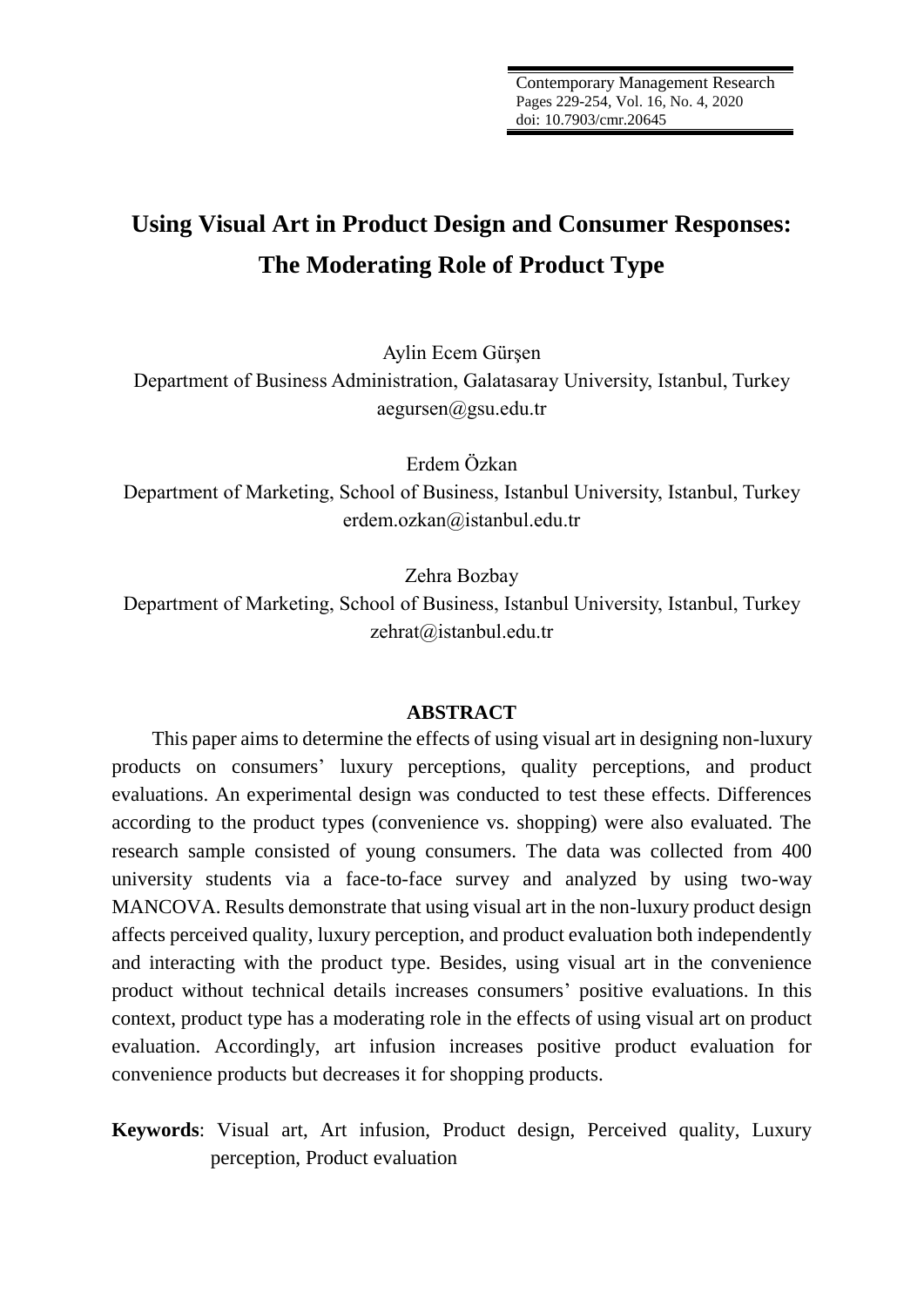# **Using Visual Art in Product Design and Consumer Responses: The Moderating Role of Product Type**

Aylin Ecem Gürşen

Department of Business Administration, Galatasaray University, Istanbul, Turkey aegursen@gsu.edu.tr

Erdem Özkan

Department of Marketing, School of Business, Istanbul University, Istanbul, Turkey erdem.ozkan@istanbul.edu.tr

Zehra Bozbay

Department of Marketing, School of Business, Istanbul University, Istanbul, Turkey zehrat@istanbul.edu.tr

## **ABSTRACT**

This paper aims to determine the effects of using visual art in designing non-luxury products on consumers' luxury perceptions, quality perceptions, and product evaluations. An experimental design was conducted to test these effects. Differences according to the product types (convenience vs. shopping) were also evaluated. The research sample consisted of young consumers. The data was collected from 400 university students via a face-to-face survey and analyzed by using two-way MANCOVA. Results demonstrate that using visual art in the non-luxury product design affects perceived quality, luxury perception, and product evaluation both independently and interacting with the product type. Besides, using visual art in the convenience product without technical details increases consumers' positive evaluations. In this context, product type has a moderating role in the effects of using visual art on product evaluation. Accordingly, art infusion increases positive product evaluation for convenience products but decreases it for shopping products.

## **Keywords**: Visual art, Art infusion, Product design, Perceived quality, Luxury perception, Product evaluation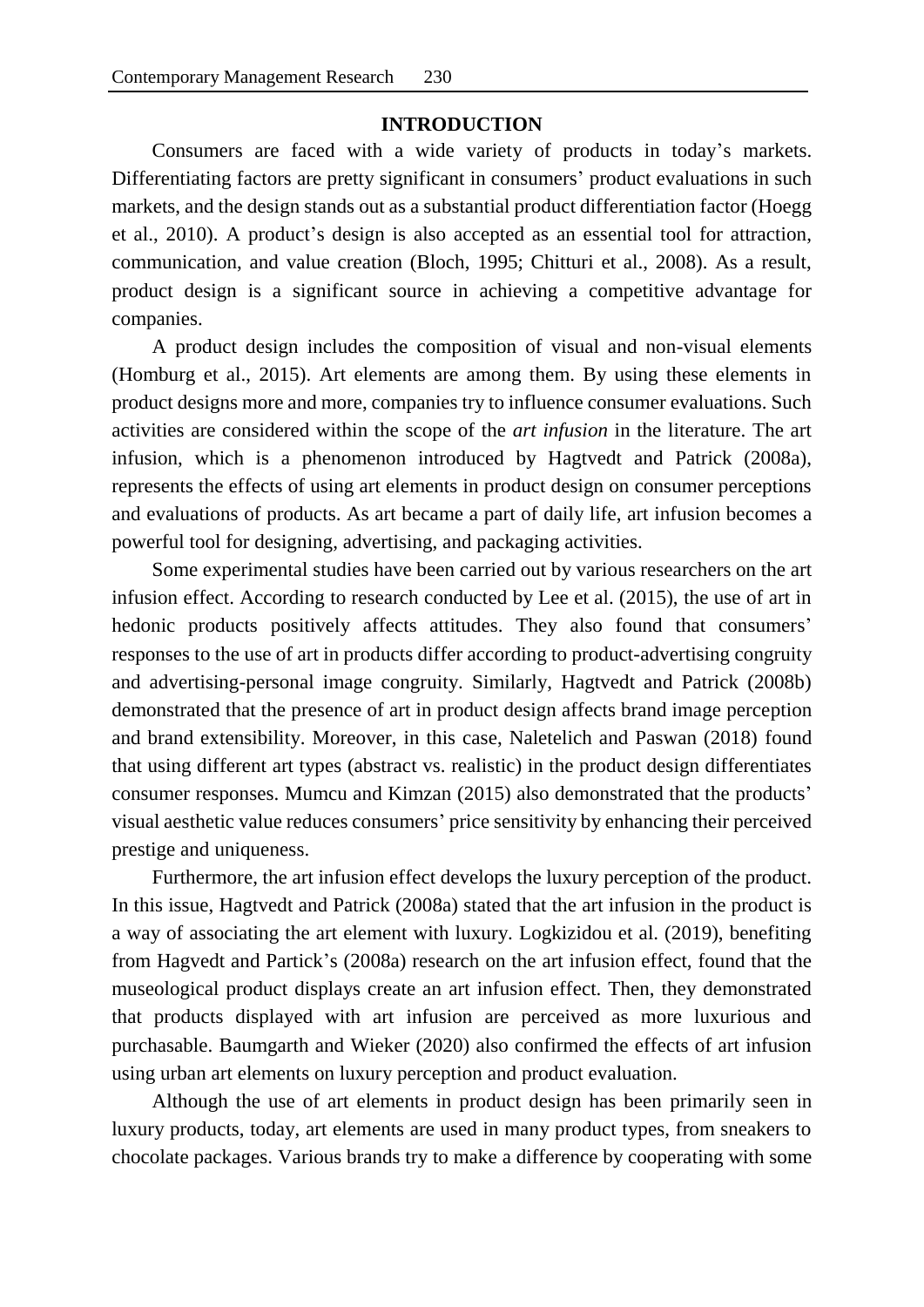## **INTRODUCTION**

Consumers are faced with a wide variety of products in today's markets. Differentiating factors are pretty significant in consumers' product evaluations in such markets, and the design stands out as a substantial product differentiation factor (Hoegg et al., 2010). A product's design is also accepted as an essential tool for attraction, communication, and value creation (Bloch, 1995; Chitturi et al., 2008). As a result, product design is a significant source in achieving a competitive advantage for companies.

A product design includes the composition of visual and non-visual elements (Homburg et al., 2015). Art elements are among them. By using these elements in product designs more and more, companies try to influence consumer evaluations. Such activities are considered within the scope of the *art infusion* in the literature. The art infusion, which is a phenomenon introduced by Hagtvedt and Patrick (2008a), represents the effects of using art elements in product design on consumer perceptions and evaluations of products. As art became a part of daily life, art infusion becomes a powerful tool for designing, advertising, and packaging activities.

Some experimental studies have been carried out by various researchers on the art infusion effect. According to research conducted by Lee et al. (2015), the use of art in hedonic products positively affects attitudes. They also found that consumers' responses to the use of art in products differ according to product-advertising congruity and advertising-personal image congruity. Similarly, Hagtvedt and Patrick (2008b) demonstrated that the presence of art in product design affects brand image perception and brand extensibility. Moreover, in this case, Naletelich and Paswan (2018) found that using different art types (abstract vs. realistic) in the product design differentiates consumer responses. Mumcu and Kimzan (2015) also demonstrated that the products' visual aesthetic value reduces consumers' price sensitivity by enhancing their perceived prestige and uniqueness.

Furthermore, the art infusion effect develops the luxury perception of the product. In this issue, Hagtvedt and Patrick (2008a) stated that the art infusion in the product is a way of associating the art element with luxury. Logkizidou et al. (2019), benefiting from Hagvedt and Partick's (2008a) research on the art infusion effect, found that the museological product displays create an art infusion effect. Then, they demonstrated that products displayed with art infusion are perceived as more luxurious and purchasable. Baumgarth and Wieker (2020) also confirmed the effects of art infusion using urban art elements on luxury perception and product evaluation.

Although the use of art elements in product design has been primarily seen in luxury products, today, art elements are used in many product types, from sneakers to chocolate packages. Various brands try to make a difference by cooperating with some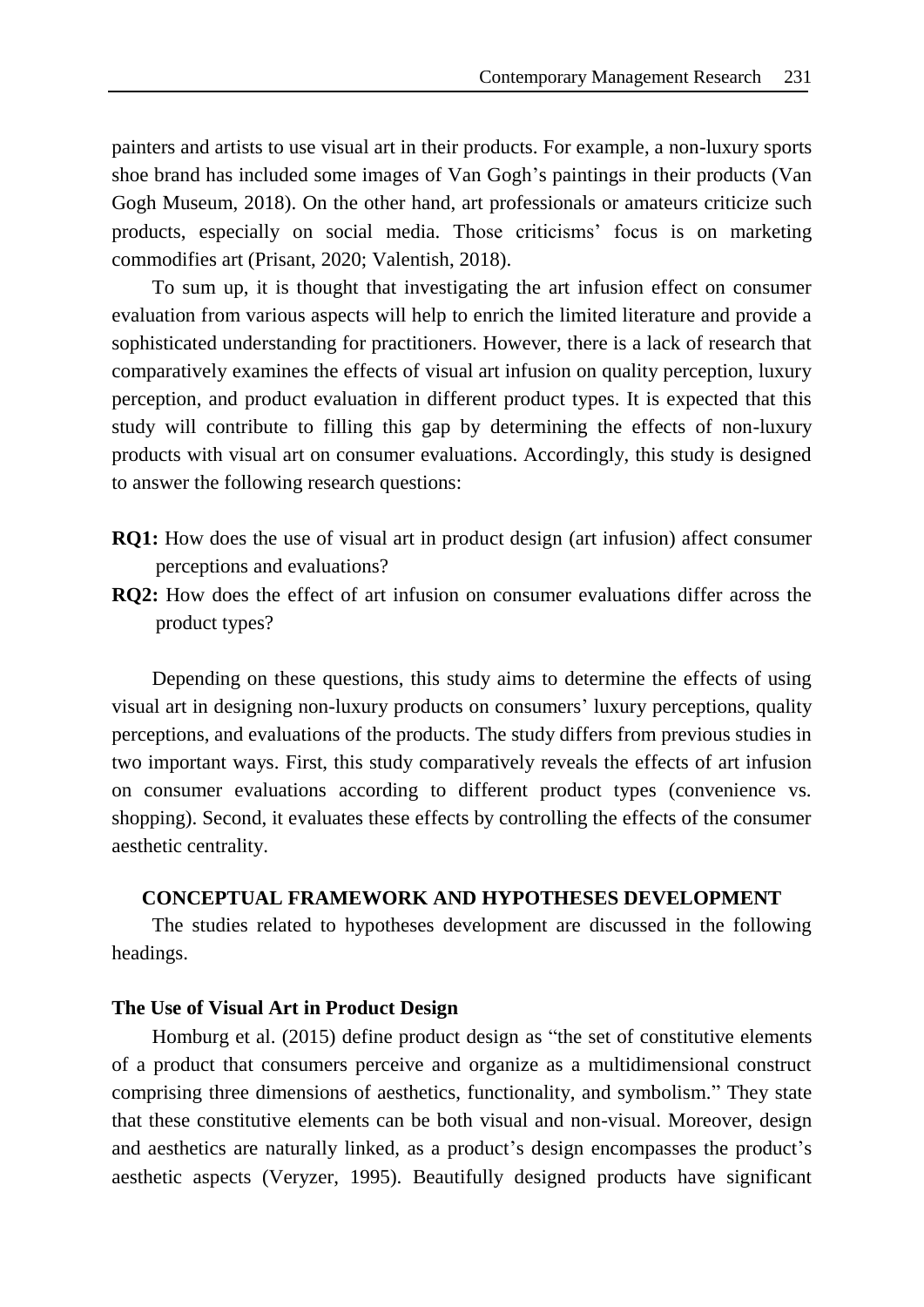painters and artists to use visual art in their products. For example, a non-luxury sports shoe brand has included some images of Van Gogh's paintings in their products (Van Gogh Museum, 2018). On the other hand, art professionals or amateurs criticize such products, especially on social media. Those criticisms' focus is on marketing commodifies art (Prisant, 2020; Valentish, 2018).

To sum up, it is thought that investigating the art infusion effect on consumer evaluation from various aspects will help to enrich the limited literature and provide a sophisticated understanding for practitioners. However, there is a lack of research that comparatively examines the effects of visual art infusion on quality perception, luxury perception, and product evaluation in different product types. It is expected that this study will contribute to filling this gap by determining the effects of non-luxury products with visual art on consumer evaluations. Accordingly, this study is designed to answer the following research questions:

- **RQ1:** How does the use of visual art in product design (art infusion) affect consumer perceptions and evaluations?
- **RQ2:** How does the effect of art infusion on consumer evaluations differ across the product types?

Depending on these questions, this study aims to determine the effects of using visual art in designing non-luxury products on consumers' luxury perceptions, quality perceptions, and evaluations of the products. The study differs from previous studies in two important ways. First, this study comparatively reveals the effects of art infusion on consumer evaluations according to different product types (convenience vs. shopping). Second, it evaluates these effects by controlling the effects of the consumer aesthetic centrality.

## **CONCEPTUAL FRAMEWORK AND HYPOTHESES DEVELOPMENT**

The studies related to hypotheses development are discussed in the following headings.

#### **The Use of Visual Art in Product Design**

Homburg et al. (2015) define product design as "the set of constitutive elements of a product that consumers perceive and organize as a multidimensional construct comprising three dimensions of aesthetics, functionality, and symbolism." They state that these constitutive elements can be both visual and non-visual. Moreover, design and aesthetics are naturally linked, as a product's design encompasses the product's aesthetic aspects (Veryzer, 1995). Beautifully designed products have significant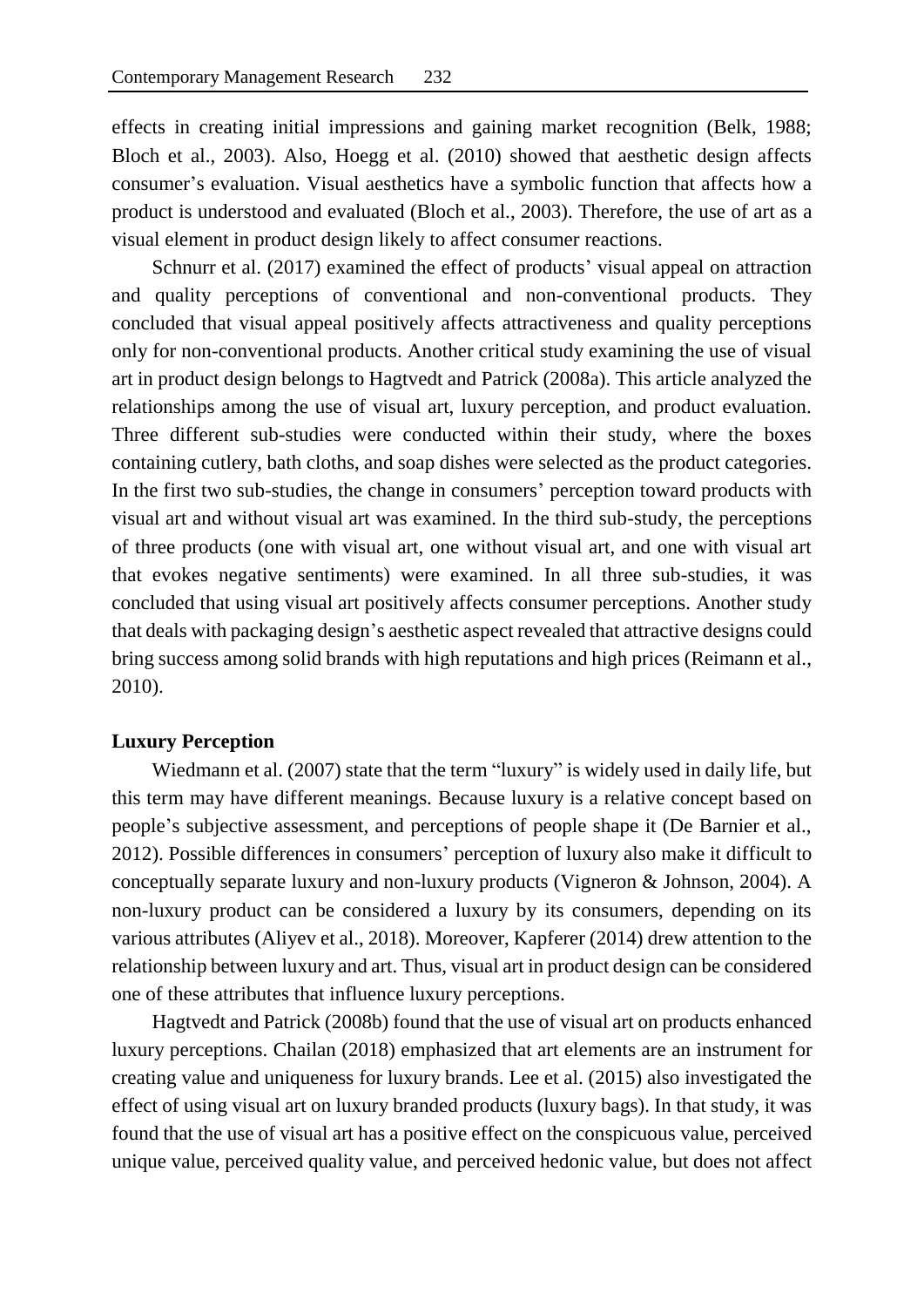effects in creating initial impressions and gaining market recognition (Belk, 1988; Bloch et al., 2003). Also, Hoegg et al. (2010) showed that aesthetic design affects consumer's evaluation. Visual aesthetics have a symbolic function that affects how a product is understood and evaluated (Bloch et al., 2003). Therefore, the use of art as a visual element in product design likely to affect consumer reactions.

Schnurr et al. (2017) examined the effect of products' visual appeal on attraction and quality perceptions of conventional and non-conventional products. They concluded that visual appeal positively affects attractiveness and quality perceptions only for non-conventional products. Another critical study examining the use of visual art in product design belongs to Hagtvedt and Patrick (2008a). This article analyzed the relationships among the use of visual art, luxury perception, and product evaluation. Three different sub-studies were conducted within their study, where the boxes containing cutlery, bath cloths, and soap dishes were selected as the product categories. In the first two sub-studies, the change in consumers' perception toward products with visual art and without visual art was examined. In the third sub-study, the perceptions of three products (one with visual art, one without visual art, and one with visual art that evokes negative sentiments) were examined. In all three sub-studies, it was concluded that using visual art positively affects consumer perceptions. Another study that deals with packaging design's aesthetic aspect revealed that attractive designs could bring success among solid brands with high reputations and high prices (Reimann et al., 2010).

## **Luxury Perception**

Wiedmann et al. (2007) state that the term "luxury" is widely used in daily life, but this term may have different meanings. Because luxury is a relative concept based on people's subjective assessment, and perceptions of people shape it (De Barnier et al., 2012). Possible differences in consumers' perception of luxury also make it difficult to conceptually separate luxury and non-luxury products (Vigneron & Johnson, 2004). A non-luxury product can be considered a luxury by its consumers, depending on its various attributes (Aliyev et al., 2018). Moreover, Kapferer (2014) drew attention to the relationship between luxury and art. Thus, visual art in product design can be considered one of these attributes that influence luxury perceptions.

Hagtvedt and Patrick (2008b) found that the use of visual art on products enhanced luxury perceptions. Chailan (2018) emphasized that art elements are an instrument for creating value and uniqueness for luxury brands. Lee et al. (2015) also investigated the effect of using visual art on luxury branded products (luxury bags). In that study, it was found that the use of visual art has a positive effect on the conspicuous value, perceived unique value, perceived quality value, and perceived hedonic value, but does not affect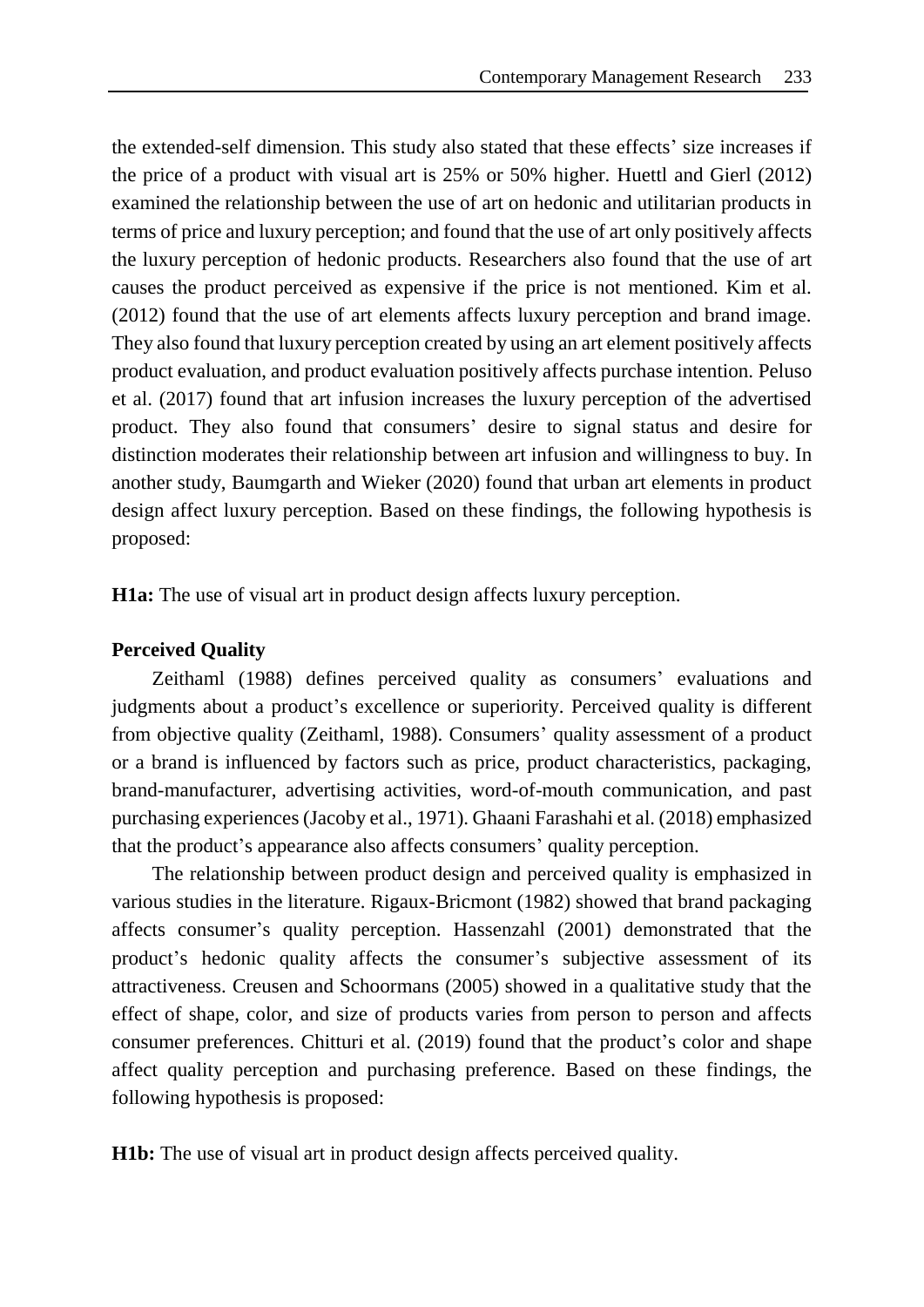the extended-self dimension. This study also stated that these effects' size increases if the price of a product with visual art is 25% or 50% higher. Huettl and Gierl (2012) examined the relationship between the use of art on hedonic and utilitarian products in terms of price and luxury perception; and found that the use of art only positively affects the luxury perception of hedonic products. Researchers also found that the use of art causes the product perceived as expensive if the price is not mentioned. Kim et al. (2012) found that the use of art elements affects luxury perception and brand image. They also found that luxury perception created by using an art element positively affects product evaluation, and product evaluation positively affects purchase intention. Peluso et al. (2017) found that art infusion increases the luxury perception of the advertised product. They also found that consumers' desire to signal status and desire for distinction moderates their relationship between art infusion and willingness to buy. In another study, Baumgarth and Wieker (2020) found that urban art elements in product design affect luxury perception. Based on these findings, the following hypothesis is proposed:

**H1a:** The use of visual art in product design affects luxury perception.

## **Perceived Quality**

Zeithaml (1988) defines perceived quality as consumers' evaluations and judgments about a product's excellence or superiority. Perceived quality is different from objective quality (Zeithaml, 1988). Consumers' quality assessment of a product or a brand is influenced by factors such as price, product characteristics, packaging, brand-manufacturer, advertising activities, word-of-mouth communication, and past purchasing experiences (Jacoby et al., 1971). Ghaani Farashahi et al. (2018) emphasized that the product's appearance also affects consumers' quality perception.

The relationship between product design and perceived quality is emphasized in various studies in the literature. Rigaux-Bricmont (1982) showed that brand packaging affects consumer's quality perception. Hassenzahl (2001) demonstrated that the product's hedonic quality affects the consumer's subjective assessment of its attractiveness. Creusen and Schoormans (2005) showed in a qualitative study that the effect of shape, color, and size of products varies from person to person and affects consumer preferences. Chitturi et al. (2019) found that the product's color and shape affect quality perception and purchasing preference. Based on these findings, the following hypothesis is proposed:

**H1b:** The use of visual art in product design affects perceived quality.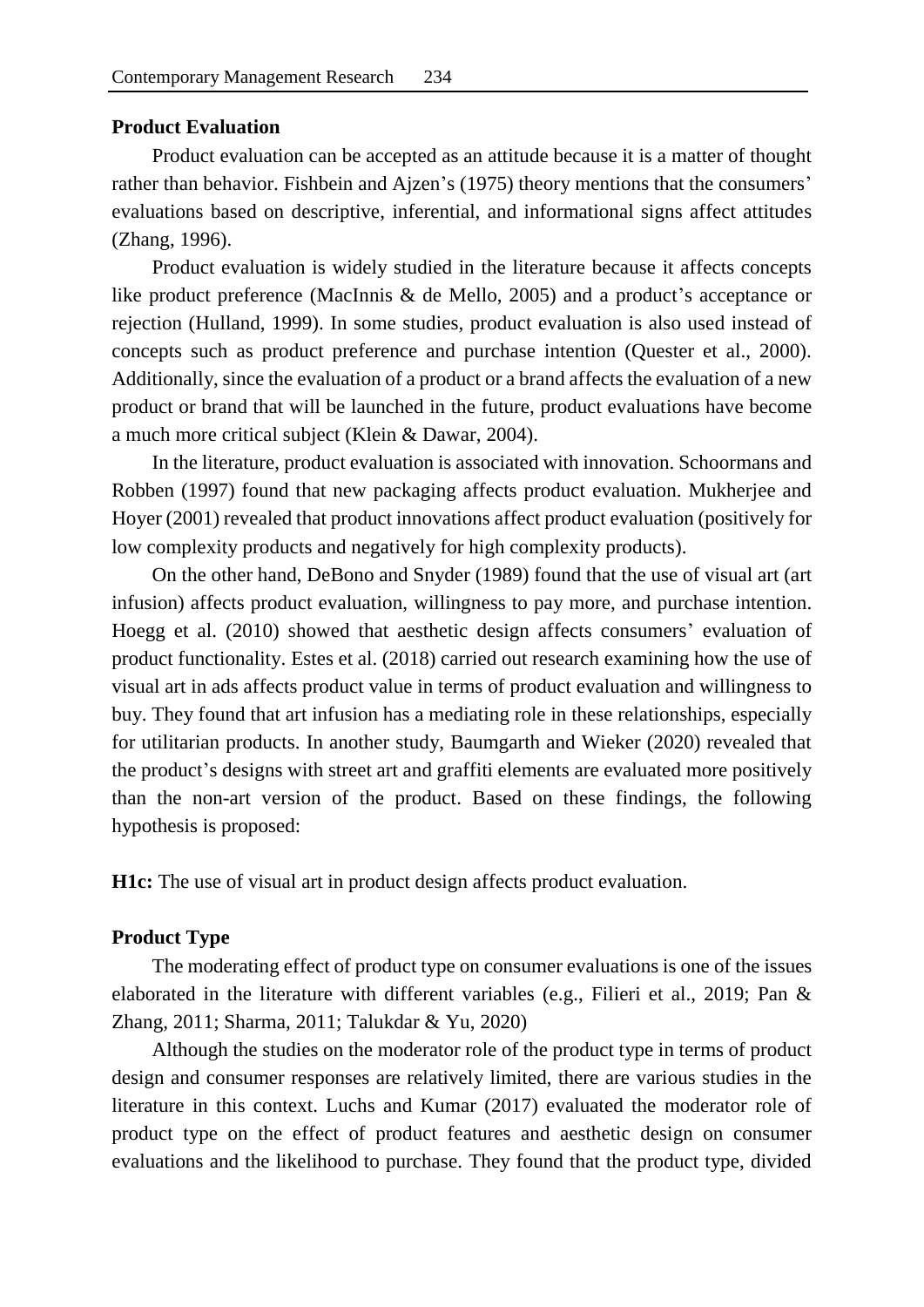## **Product Evaluation**

Product evaluation can be accepted as an attitude because it is a matter of thought rather than behavior. Fishbein and Ajzen's (1975) theory mentions that the consumers' evaluations based on descriptive, inferential, and informational signs affect attitudes (Zhang, 1996).

Product evaluation is widely studied in the literature because it affects concepts like product preference (MacInnis & de Mello, 2005) and a product's acceptance or rejection (Hulland, 1999). In some studies, product evaluation is also used instead of concepts such as product preference and purchase intention (Quester et al., 2000). Additionally, since the evaluation of a product or a brand affects the evaluation of a new product or brand that will be launched in the future, product evaluations have become a much more critical subject (Klein & Dawar, 2004).

In the literature, product evaluation is associated with innovation. Schoormans and Robben (1997) found that new packaging affects product evaluation. Mukherjee and Hoyer (2001) revealed that product innovations affect product evaluation (positively for low complexity products and negatively for high complexity products).

On the other hand, DeBono and Snyder (1989) found that the use of visual art (art infusion) affects product evaluation, willingness to pay more, and purchase intention. Hoegg et al. (2010) showed that aesthetic design affects consumers' evaluation of product functionality. Estes et al. (2018) carried out research examining how the use of visual art in ads affects product value in terms of product evaluation and willingness to buy. They found that art infusion has a mediating role in these relationships, especially for utilitarian products. In another study, Baumgarth and Wieker (2020) revealed that the product's designs with street art and graffiti elements are evaluated more positively than the non-art version of the product. Based on these findings, the following hypothesis is proposed:

**H1c:** The use of visual art in product design affects product evaluation.

#### **Product Type**

The moderating effect of product type on consumer evaluations is one of the issues elaborated in the literature with different variables (e.g., Filieri et al., 2019; Pan & Zhang, 2011; Sharma, 2011; Talukdar & Yu, 2020)

Although the studies on the moderator role of the product type in terms of product design and consumer responses are relatively limited, there are various studies in the literature in this context. Luchs and Kumar (2017) evaluated the moderator role of product type on the effect of product features and aesthetic design on consumer evaluations and the likelihood to purchase. They found that the product type, divided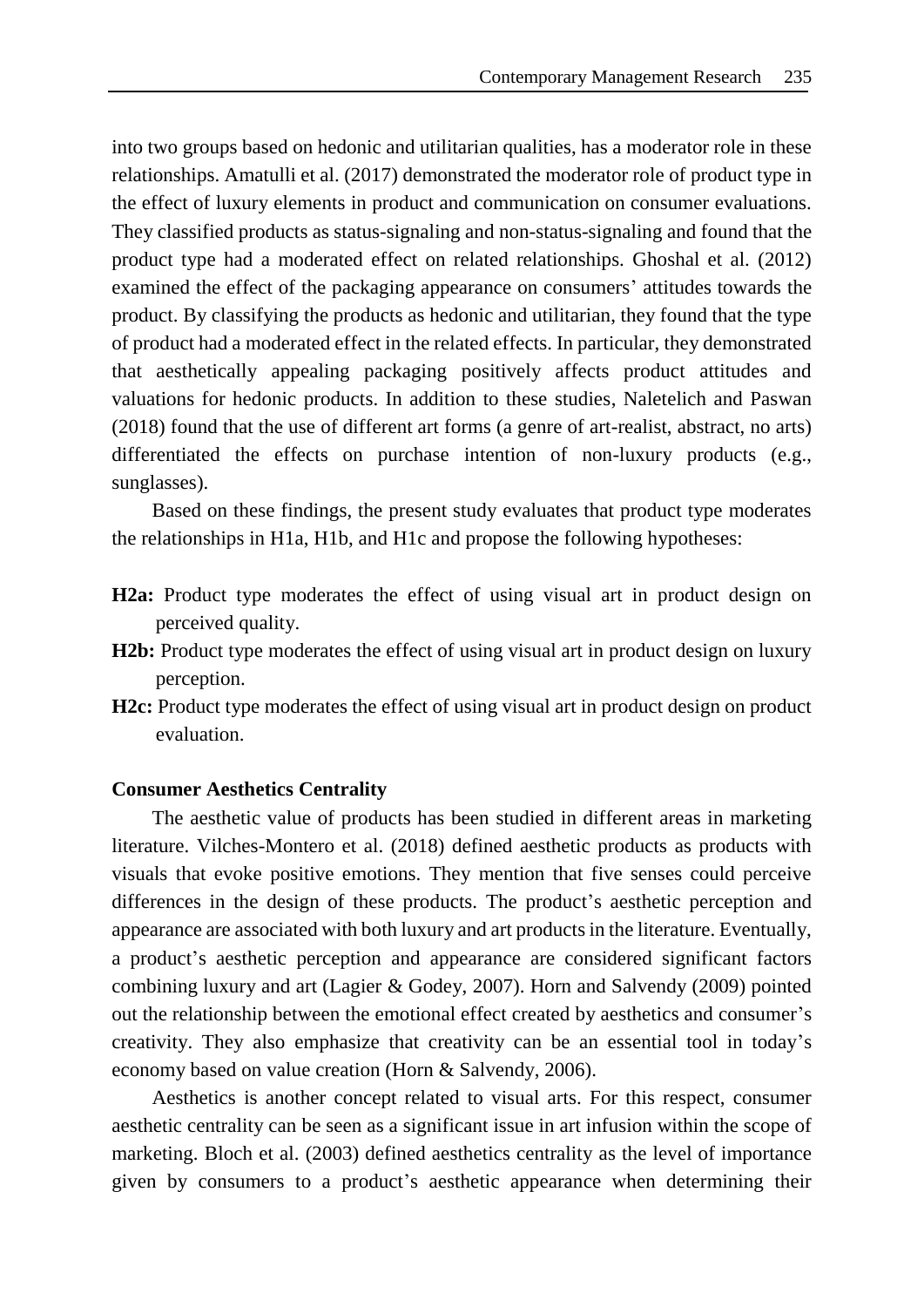into two groups based on hedonic and utilitarian qualities, has a moderator role in these relationships. Amatulli et al. (2017) demonstrated the moderator role of product type in the effect of luxury elements in product and communication on consumer evaluations. They classified products as status-signaling and non-status-signaling and found that the product type had a moderated effect on related relationships. Ghoshal et al. (2012) examined the effect of the packaging appearance on consumers' attitudes towards the product. By classifying the products as hedonic and utilitarian, they found that the type of product had a moderated effect in the related effects. In particular, they demonstrated that aesthetically appealing packaging positively affects product attitudes and valuations for hedonic products. In addition to these studies, Naletelich and Paswan (2018) found that the use of different art forms (a genre of art-realist, abstract, no arts) differentiated the effects on purchase intention of non-luxury products (e.g., sunglasses).

Based on these findings, the present study evaluates that product type moderates the relationships in H1a, H1b, and H1c and propose the following hypotheses:

- **H2a:** Product type moderates the effect of using visual art in product design on perceived quality.
- **H2b:** Product type moderates the effect of using visual art in product design on luxury perception.
- **H2c:** Product type moderates the effect of using visual art in product design on product evaluation.

#### **Consumer Aesthetics Centrality**

The aesthetic value of products has been studied in different areas in marketing literature. Vilches-Montero et al. (2018) defined aesthetic products as products with visuals that evoke positive emotions. They mention that five senses could perceive differences in the design of these products. The product's aesthetic perception and appearance are associated with both luxury and art products in the literature. Eventually, a product's aesthetic perception and appearance are considered significant factors combining luxury and art (Lagier & Godey, 2007). Horn and Salvendy (2009) pointed out the relationship between the emotional effect created by aesthetics and consumer's creativity. They also emphasize that creativity can be an essential tool in today's economy based on value creation (Horn & Salvendy, 2006).

Aesthetics is another concept related to visual arts. For this respect, consumer aesthetic centrality can be seen as a significant issue in art infusion within the scope of marketing. Bloch et al. (2003) defined aesthetics centrality as the level of importance given by consumers to a product's aesthetic appearance when determining their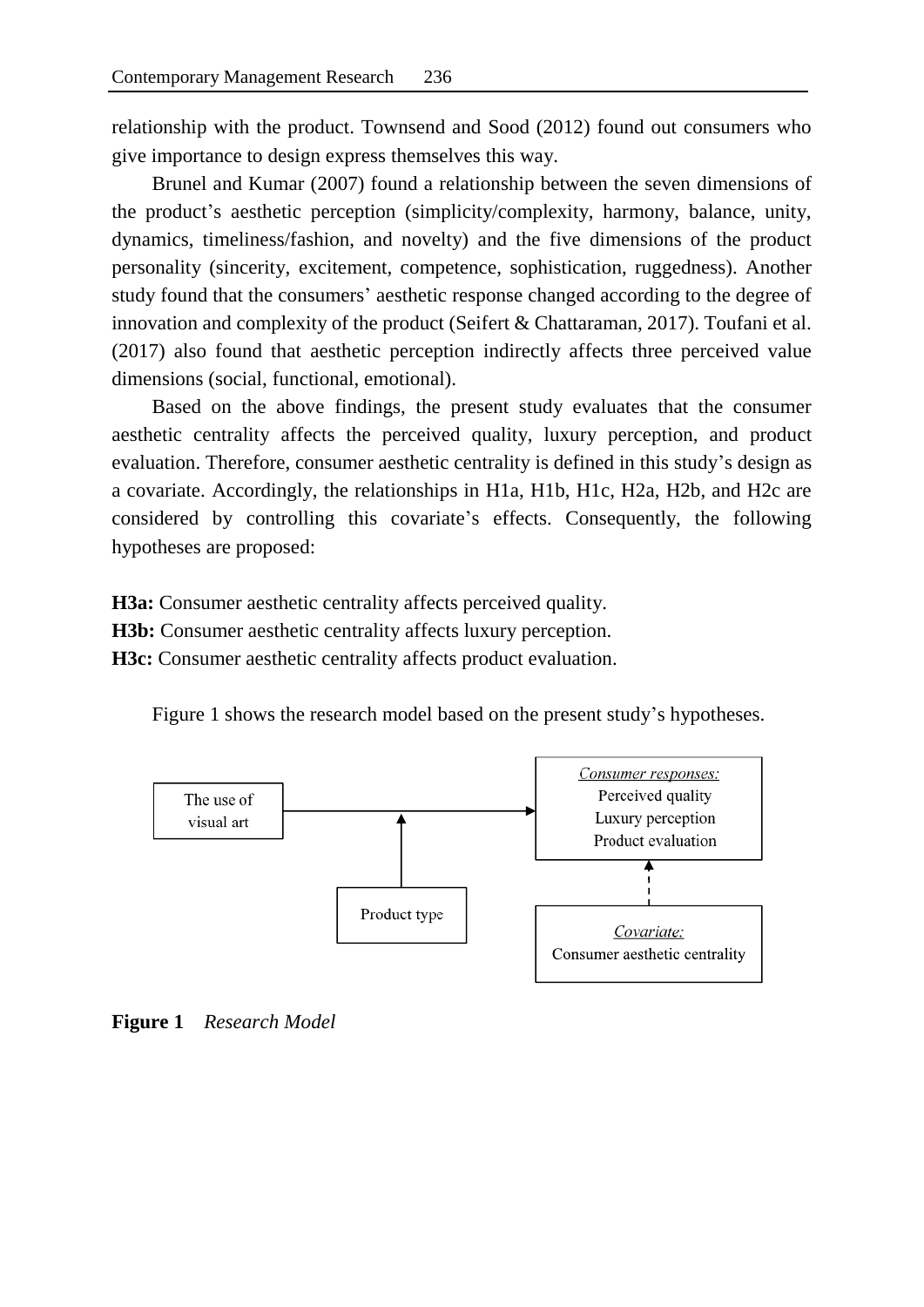relationship with the product. Townsend and Sood (2012) found out consumers who give importance to design express themselves this way.

Brunel and Kumar (2007) found a relationship between the seven dimensions of the product's aesthetic perception (simplicity/complexity, harmony, balance, unity, dynamics, timeliness/fashion, and novelty) and the five dimensions of the product personality (sincerity, excitement, competence, sophistication, ruggedness). Another study found that the consumers' aesthetic response changed according to the degree of innovation and complexity of the product (Seifert & Chattaraman, 2017). Toufani et al. (2017) also found that aesthetic perception indirectly affects three perceived value dimensions (social, functional, emotional).

Based on the above findings, the present study evaluates that the consumer aesthetic centrality affects the perceived quality, luxury perception, and product evaluation. Therefore, consumer aesthetic centrality is defined in this study's design as a covariate. Accordingly, the relationships in H1a, H1b, H1c, H2a, H2b, and H2c are considered by controlling this covariate's effects. Consequently, the following hypotheses are proposed:

**H3a:** Consumer aesthetic centrality affects perceived quality.

**H3b:** Consumer aesthetic centrality affects luxury perception.

**H3c:** Consumer aesthetic centrality affects product evaluation.

Figure 1 shows the research model based on the present study's hypotheses.



**Figure 1** *Research Model*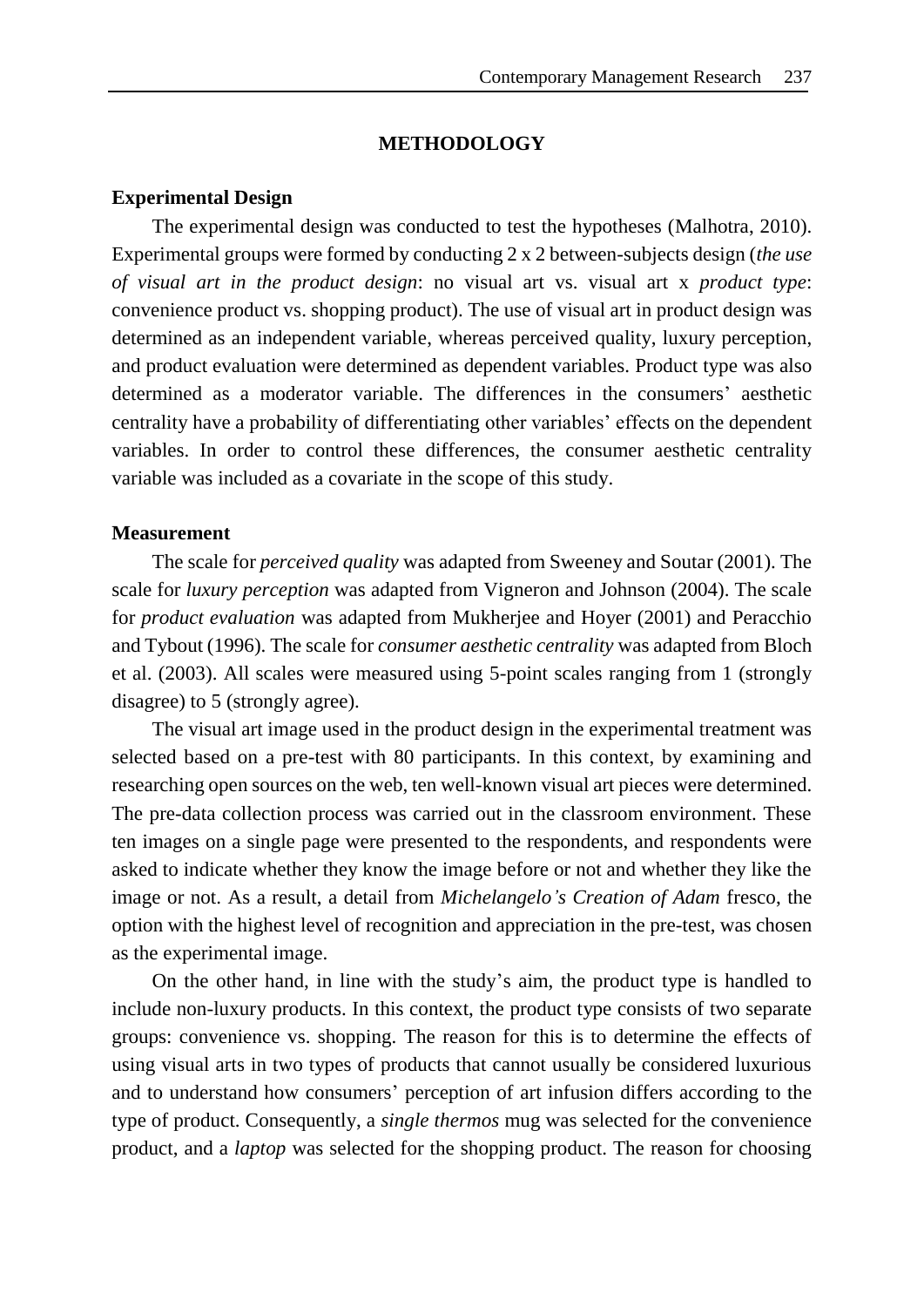## **METHODOLOGY**

### **Experimental Design**

The experimental design was conducted to test the hypotheses (Malhotra, 2010). Experimental groups were formed by conducting 2 x 2 between-subjects design (*the use of visual art in the product design*: no visual art vs. visual art x *product type*: convenience product vs. shopping product). The use of visual art in product design was determined as an independent variable, whereas perceived quality, luxury perception, and product evaluation were determined as dependent variables. Product type was also determined as a moderator variable. The differences in the consumers' aesthetic centrality have a probability of differentiating other variables' effects on the dependent variables. In order to control these differences, the consumer aesthetic centrality variable was included as a covariate in the scope of this study.

#### **Measurement**

The scale for *perceived quality* was adapted from Sweeney and Soutar (2001). The scale for *luxury perception* was adapted from Vigneron and Johnson (2004). The scale for *product evaluation* was adapted from Mukherjee and Hoyer (2001) and Peracchio and Tybout (1996). The scale for *consumer aesthetic centrality* was adapted from Bloch et al. (2003). All scales were measured using 5-point scales ranging from 1 (strongly disagree) to 5 (strongly agree).

The visual art image used in the product design in the experimental treatment was selected based on a pre-test with 80 participants. In this context, by examining and researching open sources on the web, ten well-known visual art pieces were determined. The pre-data collection process was carried out in the classroom environment. These ten images on a single page were presented to the respondents, and respondents were asked to indicate whether they know the image before or not and whether they like the image or not. As a result, a detail from *Michelangelo's Creation of Adam* fresco, the option with the highest level of recognition and appreciation in the pre-test, was chosen as the experimental image.

On the other hand, in line with the study's aim, the product type is handled to include non-luxury products. In this context, the product type consists of two separate groups: convenience vs. shopping. The reason for this is to determine the effects of using visual arts in two types of products that cannot usually be considered luxurious and to understand how consumers' perception of art infusion differs according to the type of product. Consequently, a *single thermos* mug was selected for the convenience product, and a *laptop* was selected for the shopping product. The reason for choosing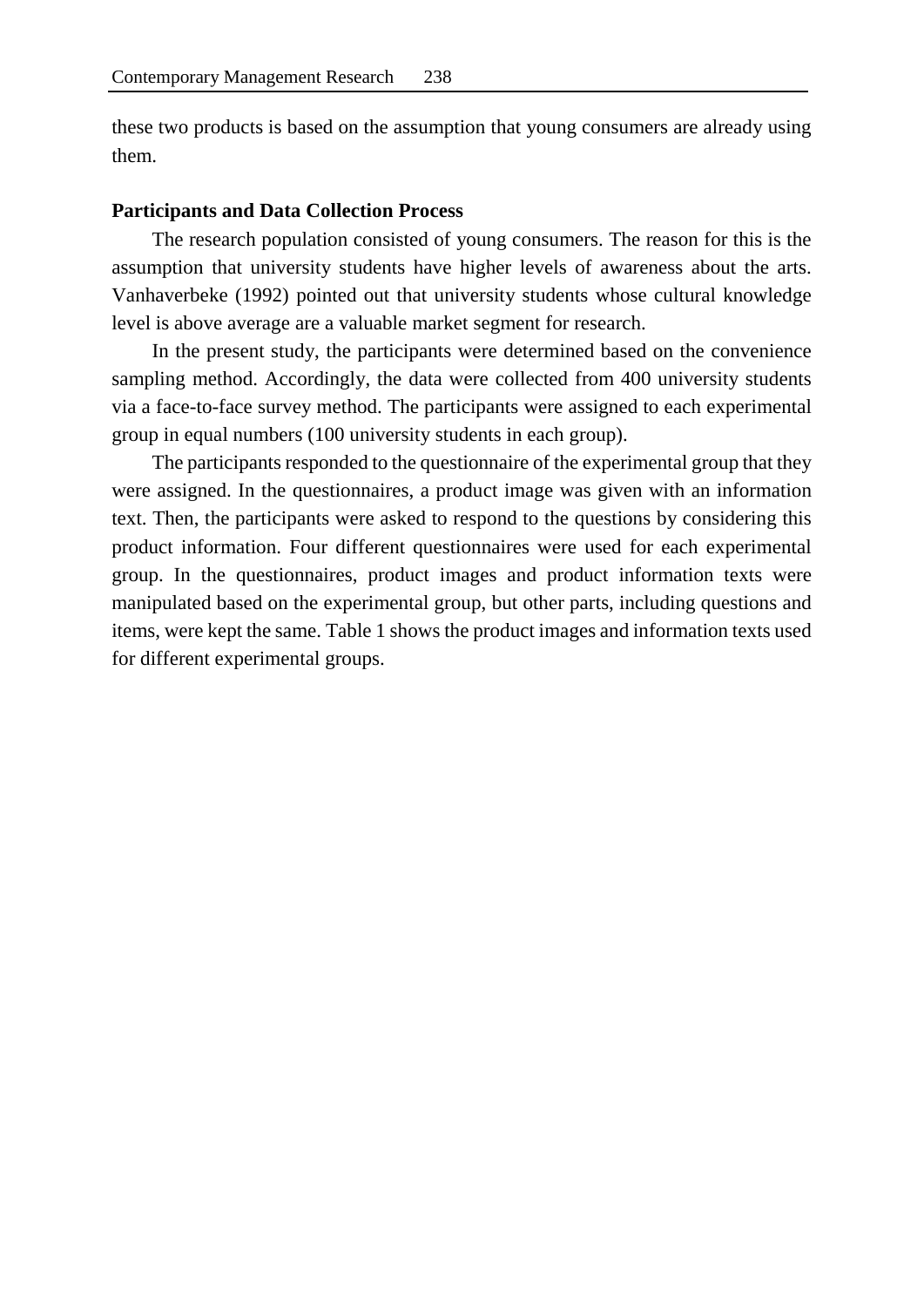these two products is based on the assumption that young consumers are already using them.

## **Participants and Data Collection Process**

The research population consisted of young consumers. The reason for this is the assumption that university students have higher levels of awareness about the arts. Vanhaverbeke (1992) pointed out that university students whose cultural knowledge level is above average are a valuable market segment for research.

In the present study, the participants were determined based on the convenience sampling method. Accordingly, the data were collected from 400 university students via a face-to-face survey method. The participants were assigned to each experimental group in equal numbers (100 university students in each group).

The participants responded to the questionnaire of the experimental group that they were assigned. In the questionnaires, a product image was given with an information text. Then, the participants were asked to respond to the questions by considering this product information. Four different questionnaires were used for each experimental group. In the questionnaires, product images and product information texts were manipulated based on the experimental group, but other parts, including questions and items, were kept the same. Table 1 shows the product images and information texts used for different experimental groups.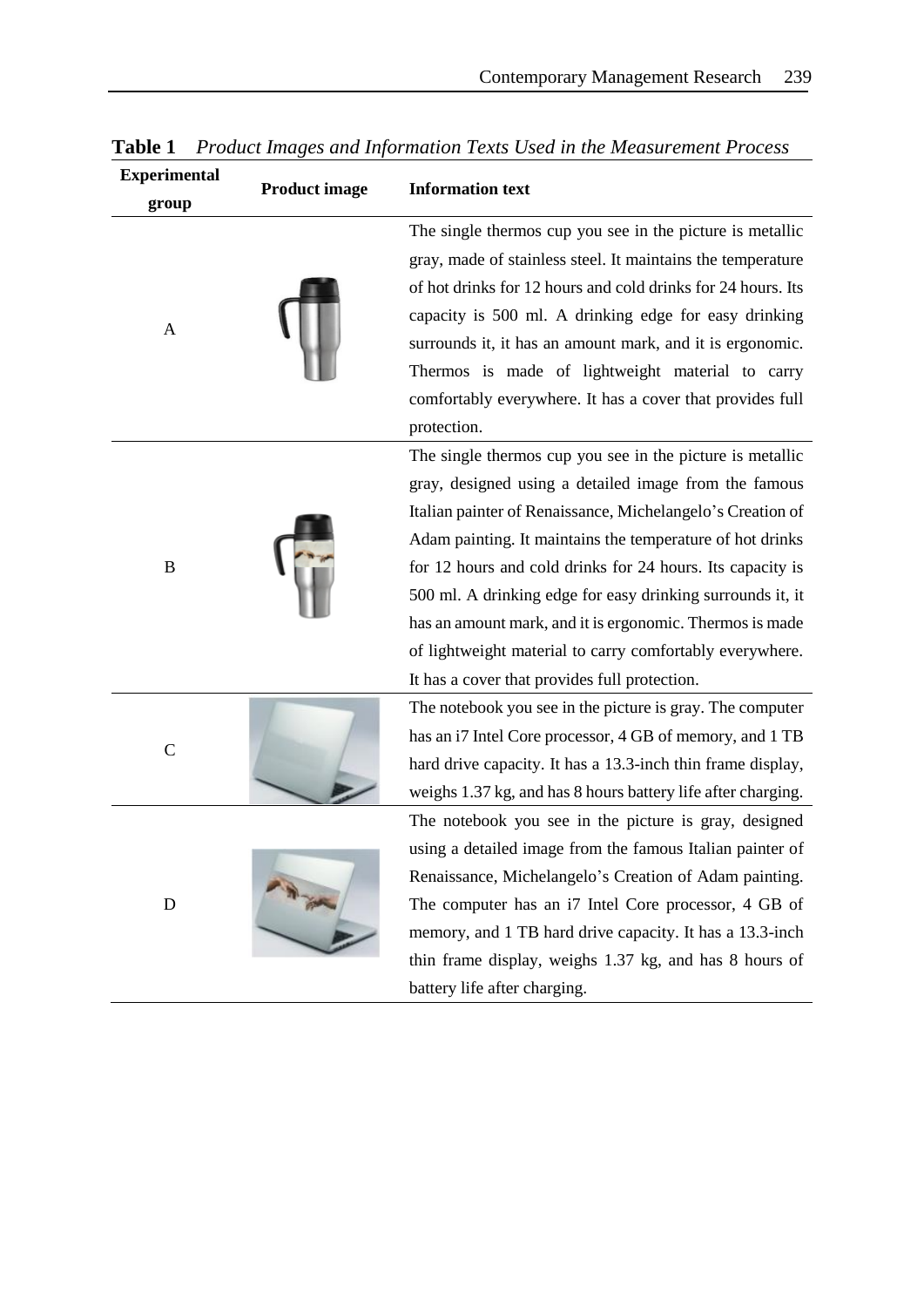| <b>Experimental</b><br>group | <b>Product image</b> | <b>Information text</b>                                                                                                                                                                                                                                                                                                                                                                                                                                                                                                                            |
|------------------------------|----------------------|----------------------------------------------------------------------------------------------------------------------------------------------------------------------------------------------------------------------------------------------------------------------------------------------------------------------------------------------------------------------------------------------------------------------------------------------------------------------------------------------------------------------------------------------------|
| A                            |                      | The single thermos cup you see in the picture is metallic<br>gray, made of stainless steel. It maintains the temperature<br>of hot drinks for 12 hours and cold drinks for 24 hours. Its<br>capacity is 500 ml. A drinking edge for easy drinking<br>surrounds it, it has an amount mark, and it is ergonomic.<br>Thermos is made of lightweight material to carry<br>comfortably everywhere. It has a cover that provides full<br>protection.                                                                                                     |
| B                            |                      | The single thermos cup you see in the picture is metallic<br>gray, designed using a detailed image from the famous<br>Italian painter of Renaissance, Michelangelo's Creation of<br>Adam painting. It maintains the temperature of hot drinks<br>for 12 hours and cold drinks for 24 hours. Its capacity is<br>500 ml. A drinking edge for easy drinking surrounds it, it<br>has an amount mark, and it is ergonomic. Thermos is made<br>of lightweight material to carry comfortably everywhere.<br>It has a cover that provides full protection. |
| $\mathsf{C}$                 |                      | The notebook you see in the picture is gray. The computer<br>has an i7 Intel Core processor, 4 GB of memory, and 1 TB<br>hard drive capacity. It has a 13.3-inch thin frame display,<br>weighs 1.37 kg, and has 8 hours battery life after charging.                                                                                                                                                                                                                                                                                               |
| D                            |                      | The notebook you see in the picture is gray, designed<br>using a detailed image from the famous Italian painter of<br>Renaissance, Michelangelo's Creation of Adam painting.<br>The computer has an i7 Intel Core processor, 4 GB of<br>memory, and 1 TB hard drive capacity. It has a 13.3-inch<br>thin frame display, weighs 1.37 kg, and has 8 hours of<br>battery life after charging.                                                                                                                                                         |

**Table 1** *Product Images and Information Texts Used in the Measurement Process*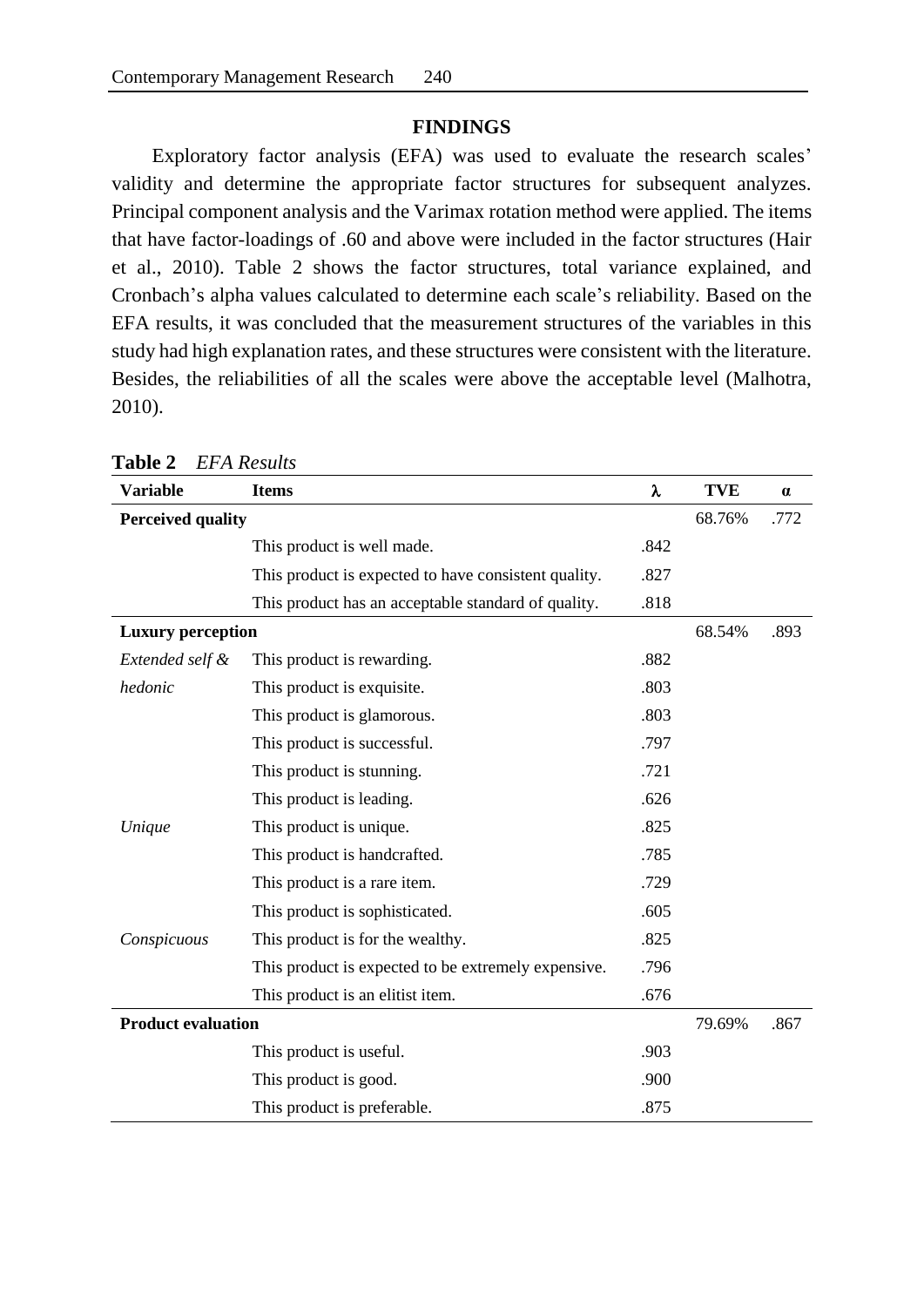## **FINDINGS**

Exploratory factor analysis (EFA) was used to evaluate the research scales' validity and determine the appropriate factor structures for subsequent analyzes. Principal component analysis and the Varimax rotation method were applied. The items that have factor-loadings of .60 and above were included in the factor structures (Hair et al., 2010). Table 2 shows the factor structures, total variance explained, and Cronbach's alpha values calculated to determine each scale's reliability. Based on the EFA results, it was concluded that the measurement structures of the variables in this study had high explanation rates, and these structures were consistent with the literature. Besides, the reliabilities of all the scales were above the acceptable level (Malhotra, 2010).

| Variable                  | <b>Items</b>                                         | λ    | <b>TVE</b> | $\alpha$ |
|---------------------------|------------------------------------------------------|------|------------|----------|
| <b>Perceived quality</b>  |                                                      |      | 68.76%     | .772     |
|                           | This product is well made.                           | .842 |            |          |
|                           | This product is expected to have consistent quality. | .827 |            |          |
|                           | This product has an acceptable standard of quality.  | .818 |            |          |
| <b>Luxury perception</b>  |                                                      |      | 68.54%     | .893     |
| Extended self &           | This product is rewarding.                           | .882 |            |          |
| hedonic                   | This product is exquisite.                           | .803 |            |          |
|                           | This product is glamorous.                           | .803 |            |          |
|                           | This product is successful.                          | .797 |            |          |
|                           | This product is stunning.                            | .721 |            |          |
|                           | This product is leading.                             | .626 |            |          |
| Unique                    | This product is unique.                              | .825 |            |          |
|                           | This product is handcrafted.                         | .785 |            |          |
|                           | This product is a rare item.                         | .729 |            |          |
|                           | This product is sophisticated.                       | .605 |            |          |
| Conspicuous               | This product is for the wealthy.                     | .825 |            |          |
|                           | This product is expected to be extremely expensive.  | .796 |            |          |
|                           | This product is an elitist item.                     | .676 |            |          |
| <b>Product evaluation</b> |                                                      |      | 79.69%     | .867     |
|                           | This product is useful.                              | .903 |            |          |
|                           | This product is good.                                | .900 |            |          |
|                           | This product is preferable.                          | .875 |            |          |

**Table 2** *EFA Results*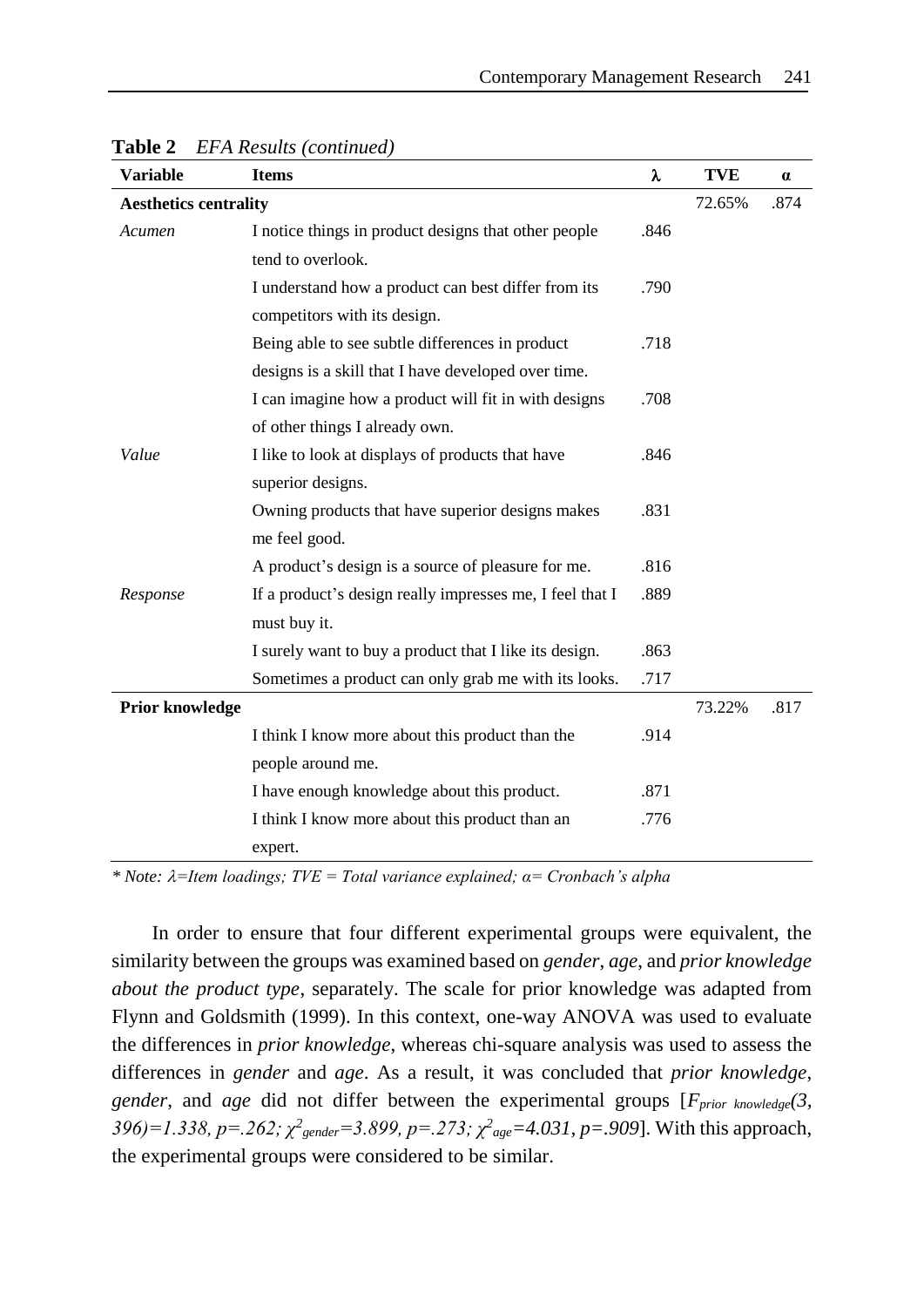| <b>Variable</b>              | <b>Items</b>                                             | λ    | <b>TVE</b> | $\alpha$ |
|------------------------------|----------------------------------------------------------|------|------------|----------|
| <b>Aesthetics centrality</b> |                                                          |      | 72.65%     | .874     |
| Acumen                       | I notice things in product designs that other people     |      |            |          |
|                              | tend to overlook.                                        |      |            |          |
|                              | I understand how a product can best differ from its      | .790 |            |          |
|                              | competitors with its design.                             |      |            |          |
|                              | Being able to see subtle differences in product          | .718 |            |          |
|                              | designs is a skill that I have developed over time.      |      |            |          |
|                              | I can imagine how a product will fit in with designs     | .708 |            |          |
|                              | of other things I already own.                           |      |            |          |
| Value                        | I like to look at displays of products that have         | .846 |            |          |
|                              | superior designs.                                        |      |            |          |
|                              | Owning products that have superior designs makes         | .831 |            |          |
|                              | me feel good.                                            |      |            |          |
|                              | A product's design is a source of pleasure for me.       | .816 |            |          |
| Response                     | If a product's design really impresses me, I feel that I | .889 |            |          |
|                              | must buy it.                                             |      |            |          |
|                              | I surely want to buy a product that I like its design.   | .863 |            |          |
|                              | Sometimes a product can only grab me with its looks.     | .717 |            |          |
| <b>Prior knowledge</b>       |                                                          |      | 73.22%     | .817     |
|                              | I think I know more about this product than the          | .914 |            |          |
|                              | people around me.                                        |      |            |          |
|                              | I have enough knowledge about this product.              | .871 |            |          |
|                              | I think I know more about this product than an           | .776 |            |          |
|                              | expert.                                                  |      |            |          |

**Table 2** *EFA Results (continued)*

*\* Note: =Item loadings; TVE = Total variance explained; α= Cronbach's alpha*

In order to ensure that four different experimental groups were equivalent, the similarity between the groups was examined based on *gender*, *age*, and *prior knowledge about the product type*, separately. The scale for prior knowledge was adapted from Flynn and Goldsmith (1999). In this context, one-way ANOVA was used to evaluate the differences in *prior knowledge*, whereas chi-square analysis was used to assess the differences in *gender* and *age*. As a result, it was concluded that *prior knowledge*, *gender*, and *age* did not differ between the experimental groups [*Fprior knowledge(3,*   $396$  = 1.338, p=.262;  $χ²$ <sub>gender</sub> = 3.899, p=.273;  $χ²$ <sub>age</sub> = 4.031, p=.909]. With this approach, the experimental groups were considered to be similar.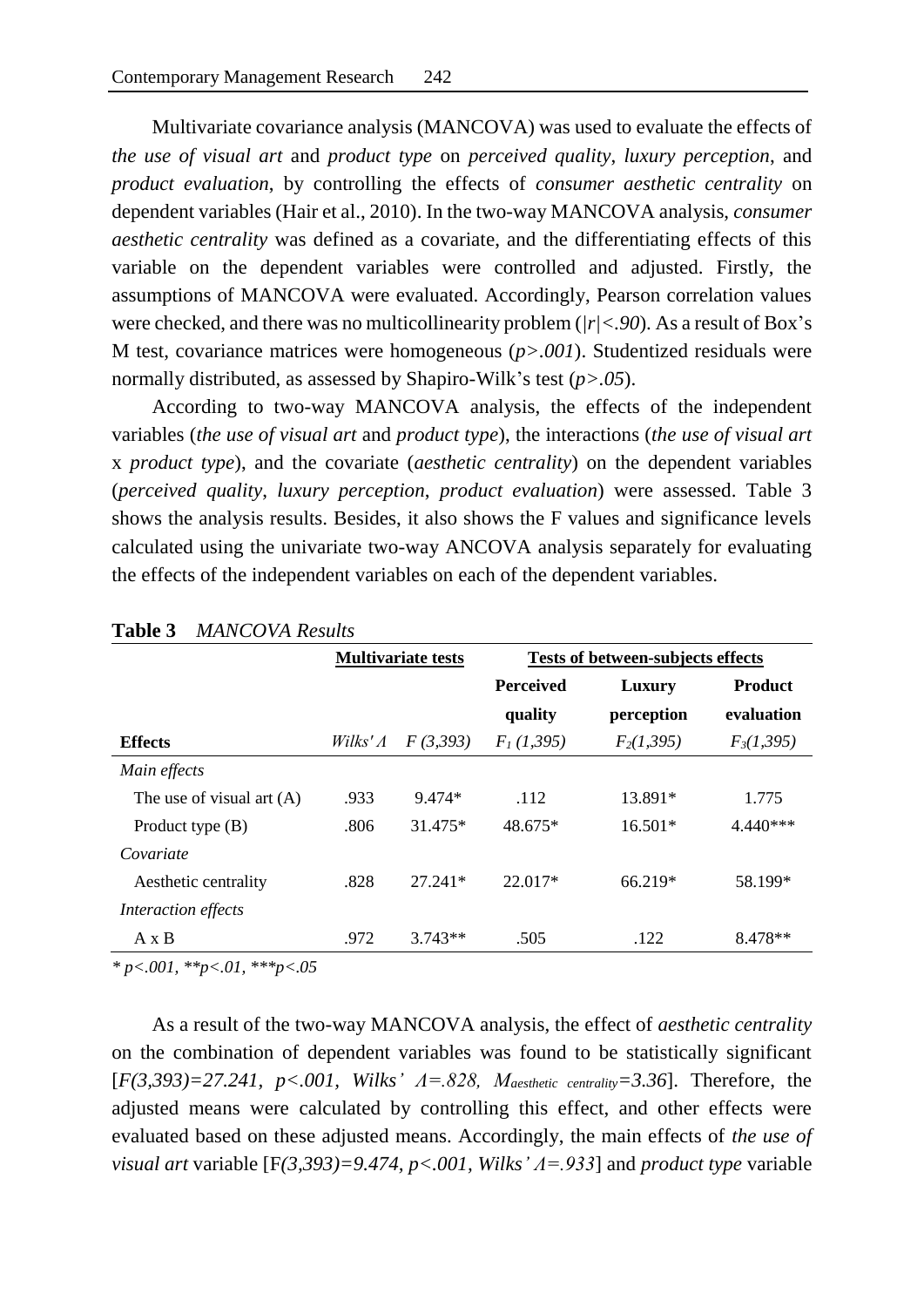Multivariate covariance analysis (MANCOVA) was used to evaluate the effects of *the use of visual art* and *product type* on *perceived quality*, *luxury perception*, and *product evaluation*, by controlling the effects of *consumer aesthetic centrality* on dependent variables (Hair et al., 2010). In the two-way MANCOVA analysis, *consumer aesthetic centrality* was defined as a covariate, and the differentiating effects of this variable on the dependent variables were controlled and adjusted. Firstly, the assumptions of MANCOVA were evaluated. Accordingly, Pearson correlation values were checked, and there was no multicollinearity problem (*|r|<.90*). As a result of Box's M test, covariance matrices were homogeneous (*p>.001*). Studentized residuals were normally distributed, as assessed by Shapiro-Wilk's test (*p>.05*).

According to two-way MANCOVA analysis, the effects of the independent variables (*the use of visual art* and *product type*), the interactions (*the use of visual art* x *product type*), and the covariate (*aesthetic centrality*) on the dependent variables (*perceived quality*, *luxury perception*, *product evaluation*) were assessed. Table 3 shows the analysis results. Besides, it also shows the F values and significance levels calculated using the univariate two-way ANCOVA analysis separately for evaluating the effects of the independent variables on each of the dependent variables.

|                             | <b>Multivariate tests</b> |           | <b>Tests of between-subjects effects</b> |              |                |  |
|-----------------------------|---------------------------|-----------|------------------------------------------|--------------|----------------|--|
|                             |                           |           | <b>Perceived</b>                         | Luxury       | <b>Product</b> |  |
|                             |                           |           | quality                                  | perception   | evaluation     |  |
| <b>Effects</b>              | Wilks' $\Lambda$          | F(3,393)  | $F_1(1,395)$                             | $F_2(1,395)$ | $F_3(1,395)$   |  |
| Main effects                |                           |           |                                          |              |                |  |
| The use of visual art $(A)$ | .933                      | 9.474*    | .112                                     | 13.891*      | 1.775          |  |
| Product type $(B)$          | .806                      | 31.475*   | 48.675*                                  | $16.501*$    | $4.440***$     |  |
| Covariate                   |                           |           |                                          |              |                |  |
| Aesthetic centrality        | .828                      | $27.241*$ | $22.017*$                                | 66.219*      | 58.199*        |  |
| Interaction effects         |                           |           |                                          |              |                |  |
| $A \times B$                | .972                      | $3.743**$ | .505                                     | .122         | 8.478**        |  |
|                             |                           |           |                                          |              |                |  |

#### **Table 3** *MANCOVA Results*

*\* p<.001, \*\*p<.01, \*\*\*p<.05*

As a result of the two-way MANCOVA analysis, the effect of *aesthetic centrality* on the combination of dependent variables was found to be statistically significant [*F(3,393)=27.241, p<.001, Wilks' Λ=.828, Maesthetic centrality=3.36*]. Therefore, the adjusted means were calculated by controlling this effect, and other effects were evaluated based on these adjusted means. Accordingly, the main effects of *the use of visual art* variable [F*(3,393)=9.474, p<.001, Wilks' Λ=.933*] and *product type* variable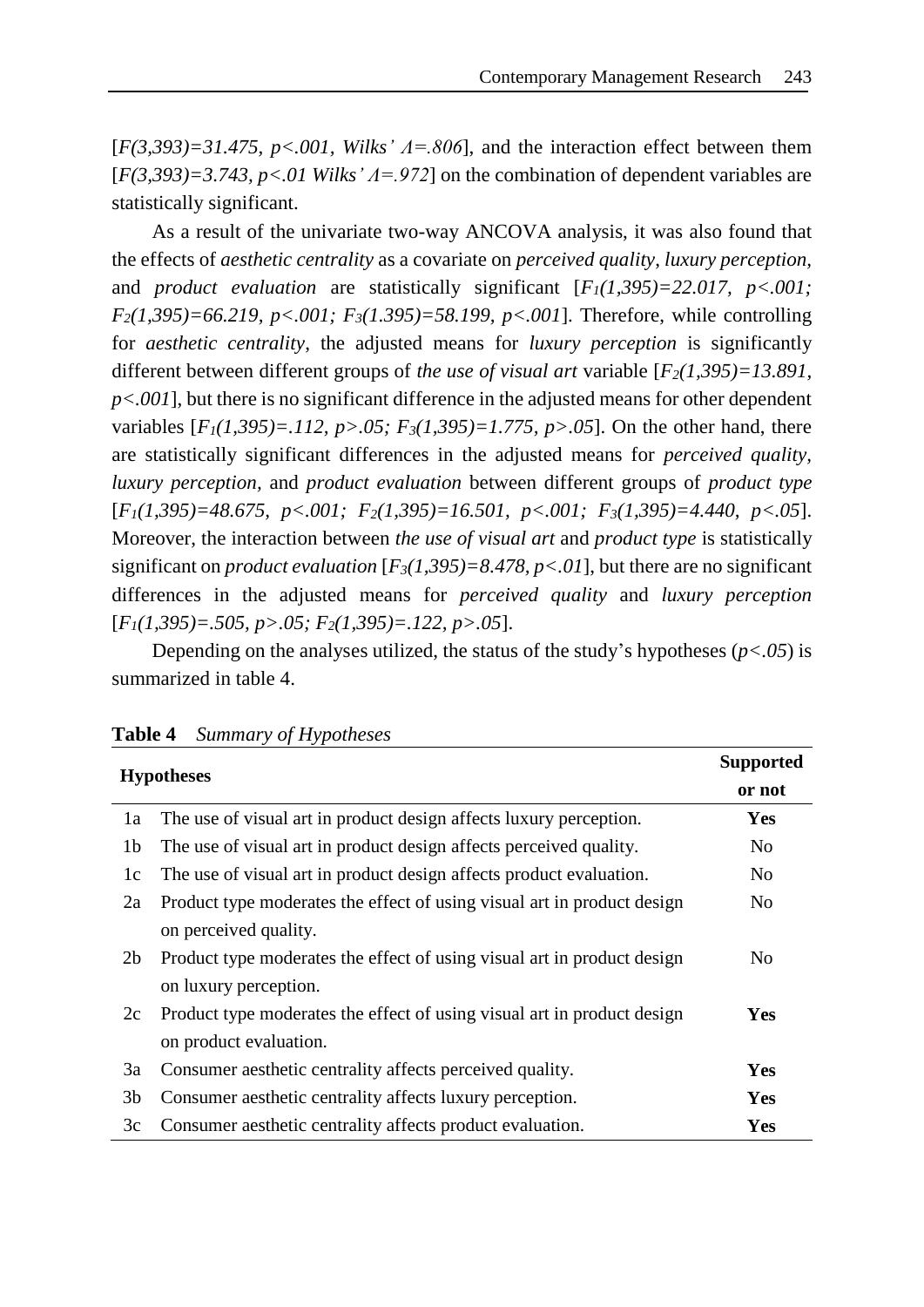[*F(3,393)=31.475, p<.001, Wilks' Λ=.806*], and the interaction effect between them [*F(3,393*)=3.743, *p*<.01 Wilks'  $\Lambda$ =.972] on the combination of dependent variables are statistically significant.

As a result of the univariate two-way ANCOVA analysis, it was also found that the effects of *aesthetic centrality* as a covariate on *perceived quality*, *luxury perception,* and *product evaluation* are statistically significant  $[F_1(1,395)=22.017, p<.001;$ *F2(1,395)=66.219, p<.001; F3(1.395)=58.199, p<.001*]. Therefore, while controlling for *aesthetic centrality*, the adjusted means for *luxury perception* is significantly different between different groups of *the use of visual art* variable [*F2(1,395)=13.891, p<.001*], but there is no significant difference in the adjusted means for other dependent variables  $[F_1(1,395)=.112, p>0.05; F_3(1,395)=1.775, p>0.05]$ . On the other hand, there are statistically significant differences in the adjusted means for *perceived quality, luxury perception,* and *product evaluation* between different groups of *product type* [*F1(1,395)=48.675, p<.001; F2(1,395)=16.501, p<.001; F3(1,395)=4.440, p<.05*]. Moreover, the interaction between *the use of visual art* and *product type* is statistically significant on *product evaluation*  $[F_3(1,395)=8.478, p<0.01]$ , but there are no significant differences in the adjusted means for *perceived quality* and *luxury perception* [*F1(1,395)=.505, p>.05; F2(1,395)=.122, p>.05*].

Depending on the analyses utilized, the status of the study's hypotheses (*p<.05*) is summarized in table 4.

| <b>Hypotheses</b> |                                                                         | <b>Supported</b> |  |
|-------------------|-------------------------------------------------------------------------|------------------|--|
|                   |                                                                         | or not           |  |
| 1a                | The use of visual art in product design affects luxury perception.      | Yes              |  |
| 1b                | The use of visual art in product design affects perceived quality.      | N <sub>0</sub>   |  |
| 1c                | The use of visual art in product design affects product evaluation.     | N <sub>0</sub>   |  |
| 2a                | Product type moderates the effect of using visual art in product design | N <sub>0</sub>   |  |
|                   | on perceived quality.                                                   |                  |  |
| 2 <sub>b</sub>    | Product type moderates the effect of using visual art in product design | No               |  |
|                   | on luxury perception.                                                   |                  |  |
| 2c                | Product type moderates the effect of using visual art in product design | Yes              |  |
|                   | on product evaluation.                                                  |                  |  |
| 3a                | Consumer aesthetic centrality affects perceived quality.                | Yes              |  |
| 3 <sub>b</sub>    | Consumer aesthetic centrality affects luxury perception.                | Yes              |  |
| 3c                | Consumer aesthetic centrality affects product evaluation.               | <b>Yes</b>       |  |

#### **Table 4** *Summary of Hypotheses*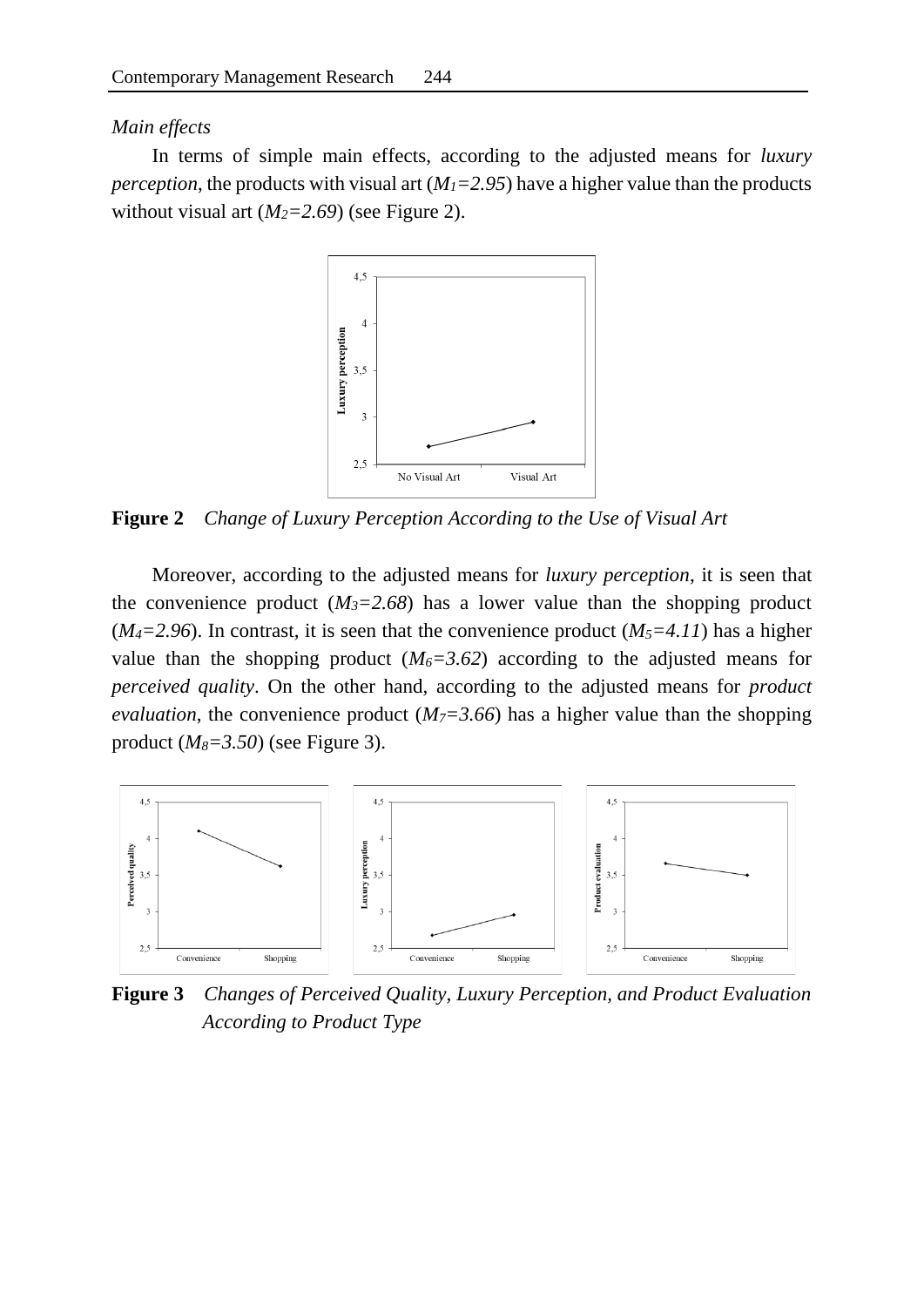### *Main effects*

In terms of simple main effects, according to the adjusted means for *luxury perception*, the products with visual art  $(M<sub>I</sub>=2.95)$  have a higher value than the products without visual art  $(M_2=2.69)$  (see Figure 2).



**Figure 2** *Change of Luxury Perception According to the Use of Visual Art*

Moreover, according to the adjusted means for *luxury perception*, it is seen that the convenience product  $(M_3=2.68)$  has a lower value than the shopping product ( $M_4$ =2.96). In contrast, it is seen that the convenience product ( $M_5$ =4.11) has a higher value than the shopping product  $(M_6=3.62)$  according to the adjusted means for *perceived quality*. On the other hand, according to the adjusted means for *product evaluation*, the convenience product  $(M<sub>7</sub>=3.66)$  has a higher value than the shopping product (*M8=3.50*) (see Figure 3).



**Figure 3** *Changes of Perceived Quality, Luxury Perception, and Product Evaluation According to Product Type*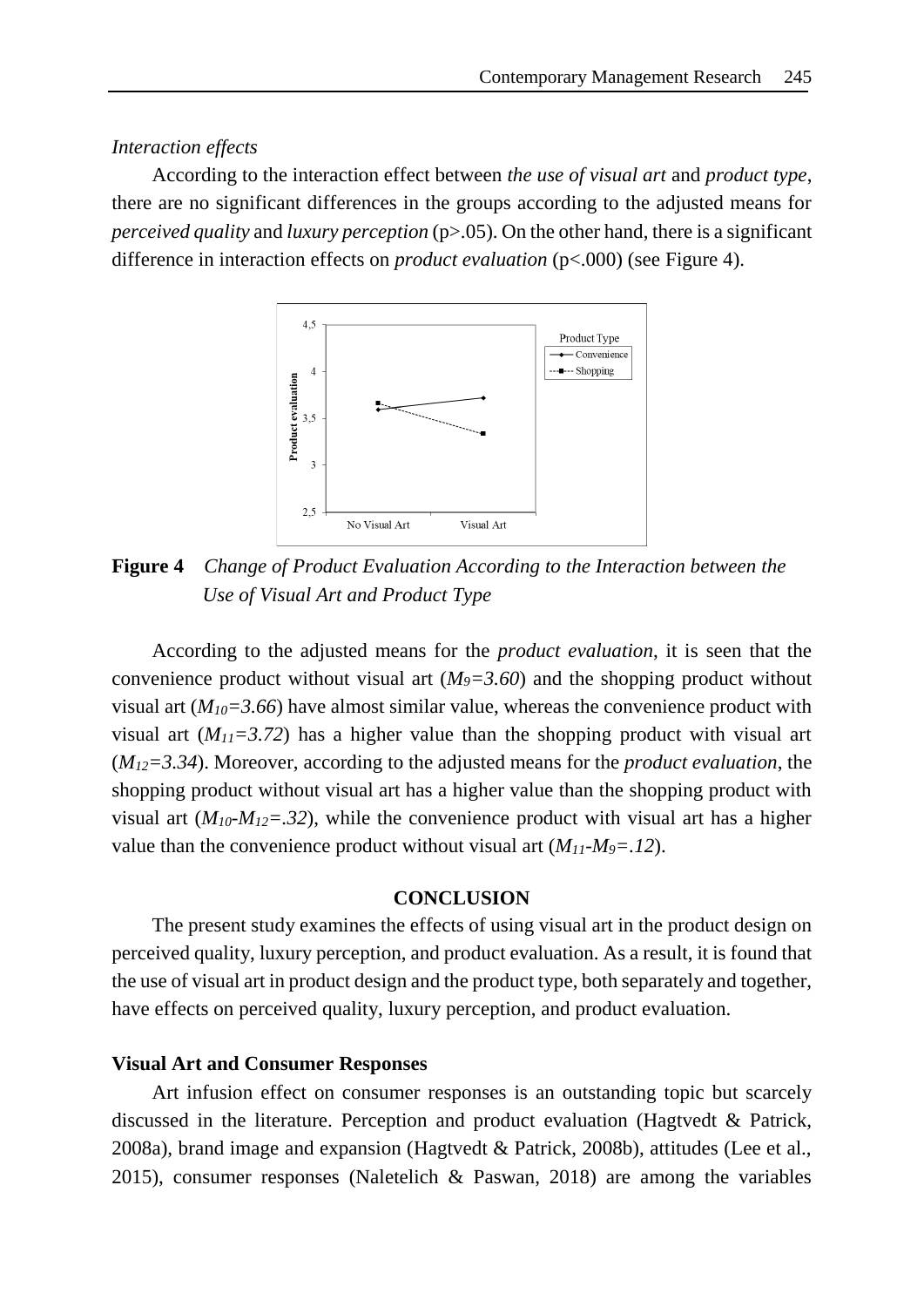#### *Interaction effects*

According to the interaction effect between *the use of visual art* and *product type*, there are no significant differences in the groups according to the adjusted means for *perceived quality* and *luxury perception* (p>.05). On the other hand, there is a significant difference in interaction effects on *product evaluation* (p<.000) (see Figure 4).



**Figure 4** *Change of Product Evaluation According to the Interaction between the Use of Visual Art and Product Type*

According to the adjusted means for the *product evaluation*, it is seen that the convenience product without visual art  $(M<sub>9</sub>=3.60)$  and the shopping product without visual art  $(M_{10}=3.66)$  have almost similar value, whereas the convenience product with visual art  $(M_{II}=3.72)$  has a higher value than the shopping product with visual art (*M12=3.34*). Moreover, according to the adjusted means for the *product evaluation*, the shopping product without visual art has a higher value than the shopping product with visual art  $(M_{10}$ *-M*<sub>12</sub>=.32), while the convenience product with visual art has a higher value than the convenience product without visual art  $(M_{11}\text{-}M_{9})=12$ .

## **CONCLUSION**

The present study examines the effects of using visual art in the product design on perceived quality, luxury perception, and product evaluation. As a result, it is found that the use of visual art in product design and the product type, both separately and together, have effects on perceived quality, luxury perception, and product evaluation.

#### **Visual Art and Consumer Responses**

Art infusion effect on consumer responses is an outstanding topic but scarcely discussed in the literature. Perception and product evaluation (Hagtvedt & Patrick, 2008a), brand image and expansion (Hagtvedt & Patrick, 2008b), attitudes (Lee et al., 2015), consumer responses (Naletelich & Paswan, 2018) are among the variables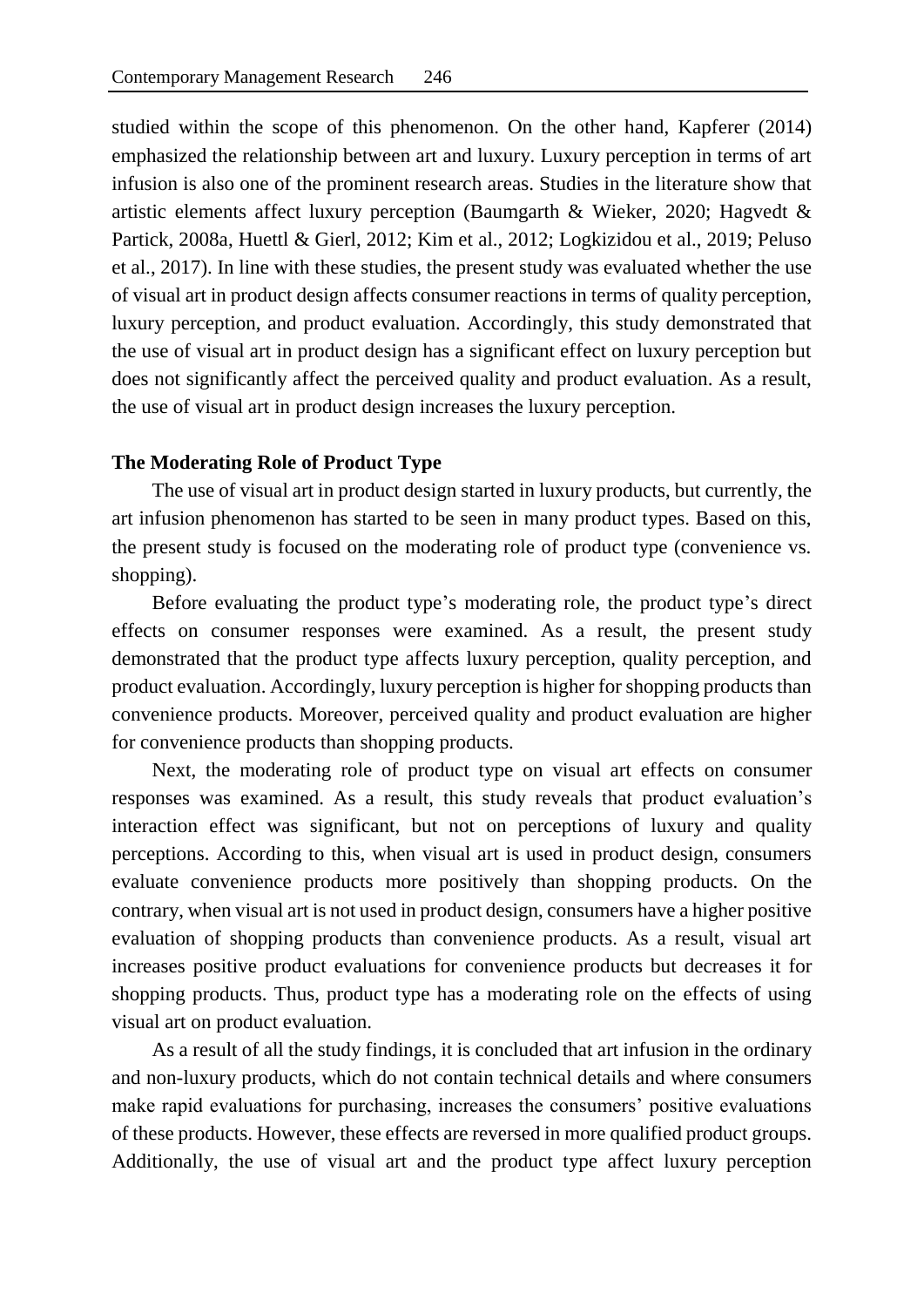studied within the scope of this phenomenon. On the other hand, Kapferer (2014) emphasized the relationship between art and luxury. Luxury perception in terms of art infusion is also one of the prominent research areas. Studies in the literature show that artistic elements affect luxury perception (Baumgarth & Wieker, 2020; Hagvedt & Partick, 2008a, Huettl & Gierl, 2012; Kim et al., 2012; Logkizidou et al., 2019; Peluso et al., 2017). In line with these studies, the present study was evaluated whether the use of visual art in product design affects consumer reactions in terms of quality perception, luxury perception, and product evaluation. Accordingly, this study demonstrated that the use of visual art in product design has a significant effect on luxury perception but does not significantly affect the perceived quality and product evaluation. As a result, the use of visual art in product design increases the luxury perception.

#### **The Moderating Role of Product Type**

The use of visual art in product design started in luxury products, but currently, the art infusion phenomenon has started to be seen in many product types. Based on this, the present study is focused on the moderating role of product type (convenience vs. shopping).

Before evaluating the product type's moderating role, the product type's direct effects on consumer responses were examined. As a result, the present study demonstrated that the product type affects luxury perception, quality perception, and product evaluation. Accordingly, luxury perception is higher for shopping products than convenience products. Moreover, perceived quality and product evaluation are higher for convenience products than shopping products.

Next, the moderating role of product type on visual art effects on consumer responses was examined. As a result, this study reveals that product evaluation's interaction effect was significant, but not on perceptions of luxury and quality perceptions. According to this, when visual art is used in product design, consumers evaluate convenience products more positively than shopping products. On the contrary, when visual art is not used in product design, consumers have a higher positive evaluation of shopping products than convenience products. As a result, visual art increases positive product evaluations for convenience products but decreases it for shopping products. Thus, product type has a moderating role on the effects of using visual art on product evaluation.

As a result of all the study findings, it is concluded that art infusion in the ordinary and non-luxury products, which do not contain technical details and where consumers make rapid evaluations for purchasing, increases the consumers' positive evaluations of these products. However, these effects are reversed in more qualified product groups. Additionally, the use of visual art and the product type affect luxury perception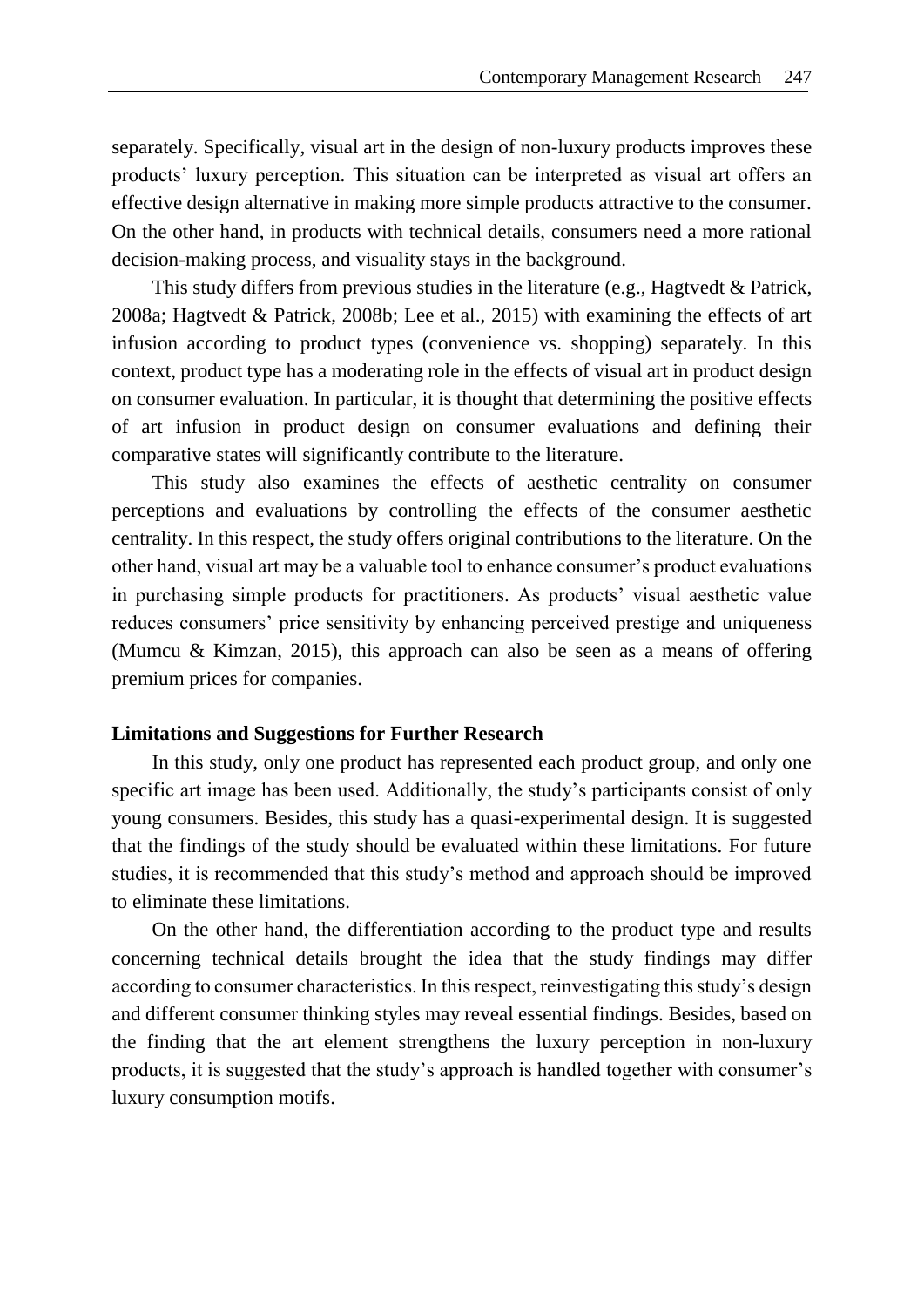separately. Specifically, visual art in the design of non-luxury products improves these products' luxury perception. This situation can be interpreted as visual art offers an effective design alternative in making more simple products attractive to the consumer. On the other hand, in products with technical details, consumers need a more rational decision-making process, and visuality stays in the background.

This study differs from previous studies in the literature (e.g., Hagtvedt & Patrick, 2008a; Hagtvedt & Patrick, 2008b; Lee et al., 2015) with examining the effects of art infusion according to product types (convenience vs. shopping) separately. In this context, product type has a moderating role in the effects of visual art in product design on consumer evaluation. In particular, it is thought that determining the positive effects of art infusion in product design on consumer evaluations and defining their comparative states will significantly contribute to the literature.

This study also examines the effects of aesthetic centrality on consumer perceptions and evaluations by controlling the effects of the consumer aesthetic centrality. In this respect, the study offers original contributions to the literature. On the other hand, visual art may be a valuable tool to enhance consumer's product evaluations in purchasing simple products for practitioners. As products' visual aesthetic value reduces consumers' price sensitivity by enhancing perceived prestige and uniqueness (Mumcu & Kimzan, 2015), this approach can also be seen as a means of offering premium prices for companies.

#### **Limitations and Suggestions for Further Research**

In this study, only one product has represented each product group, and only one specific art image has been used. Additionally, the study's participants consist of only young consumers. Besides, this study has a quasi-experimental design. It is suggested that the findings of the study should be evaluated within these limitations. For future studies, it is recommended that this study's method and approach should be improved to eliminate these limitations.

On the other hand, the differentiation according to the product type and results concerning technical details brought the idea that the study findings may differ according to consumer characteristics. In this respect, reinvestigating this study's design and different consumer thinking styles may reveal essential findings. Besides, based on the finding that the art element strengthens the luxury perception in non-luxury products, it is suggested that the study's approach is handled together with consumer's luxury consumption motifs.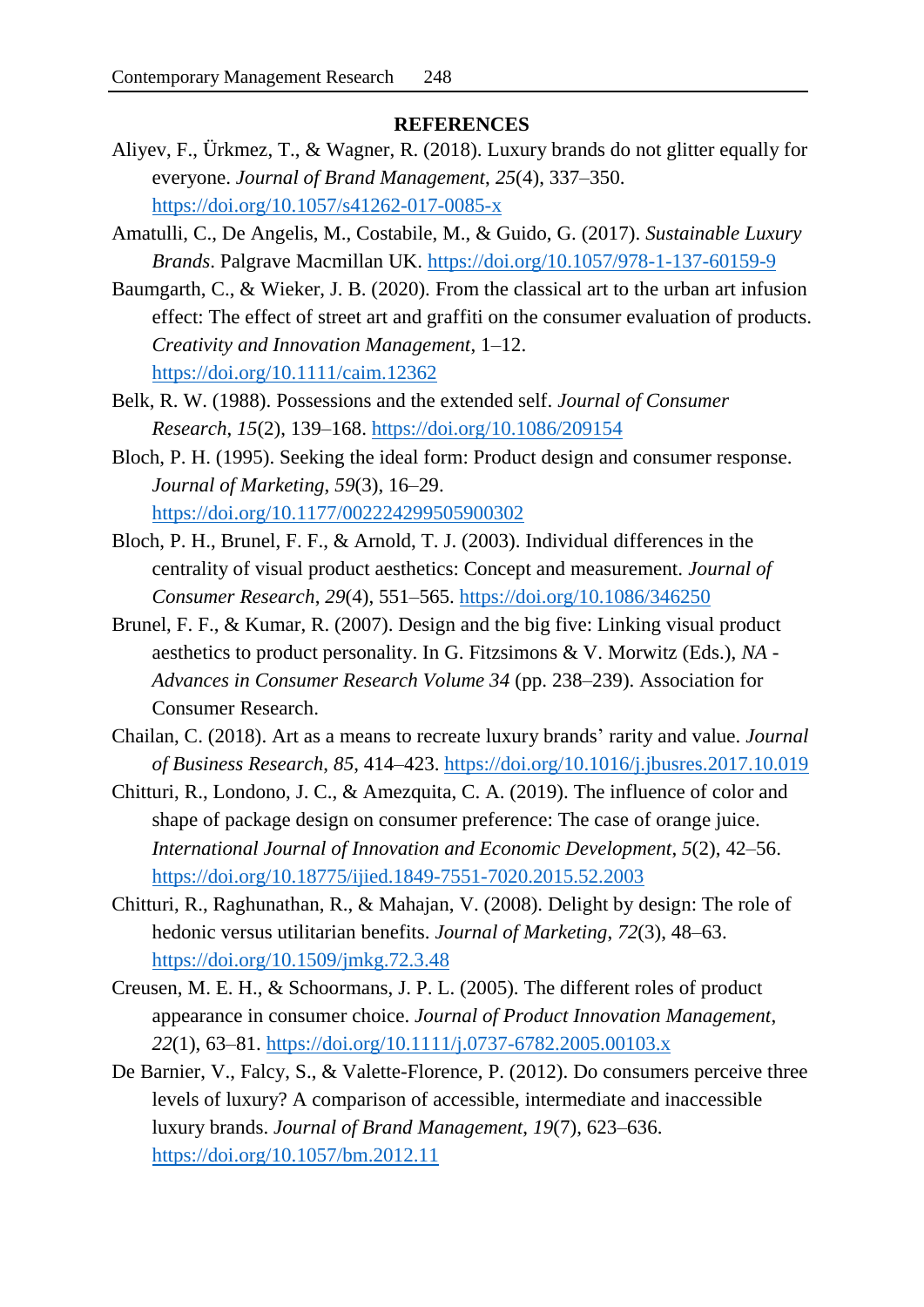## **REFERENCES**

- Aliyev, F., Ürkmez, T., & Wagner, R. (2018). Luxury brands do not glitter equally for everyone. *Journal of Brand Management*, *25*(4), 337–350. <https://doi.org/10.1057/s41262-017-0085-x>
- Amatulli, C., De Angelis, M., Costabile, M., & Guido, G. (2017). *Sustainable Luxury Brands*. Palgrave Macmillan UK.<https://doi.org/10.1057/978-1-137-60159-9>
- Baumgarth, C., & Wieker, J. B. (2020). From the classical art to the urban art infusion effect: The effect of street art and graffiti on the consumer evaluation of products. *Creativity and Innovation Management*, 1–12. <https://doi.org/10.1111/caim.12362>
- Belk, R. W. (1988). Possessions and the extended self. *Journal of Consumer Research*, *15*(2), 139–168.<https://doi.org/10.1086/209154>
- Bloch, P. H. (1995). Seeking the ideal form: Product design and consumer response. *Journal of Marketing*, *59*(3), 16–29. <https://doi.org/10.1177/002224299505900302>
- Bloch, P. H., Brunel, F. F., & Arnold, T. J. (2003). Individual differences in the centrality of visual product aesthetics: Concept and measurement. *Journal of Consumer Research*, *29*(4), 551–565.<https://doi.org/10.1086/346250>
- Brunel, F. F., & Kumar, R. (2007). Design and the big five: Linking visual product aesthetics to product personality. In G. Fitzsimons & V. Morwitz (Eds.), *NA - Advances in Consumer Research Volume 34* (pp. 238–239). Association for Consumer Research.
- Chailan, C. (2018). Art as a means to recreate luxury brands' rarity and value. *Journal of Business Research*, *85*, 414–423.<https://doi.org/10.1016/j.jbusres.2017.10.019>
- Chitturi, R., Londono, J. C., & Amezquita, C. A. (2019). The influence of color and shape of package design on consumer preference: The case of orange juice. *International Journal of Innovation and Economic Development*, *5*(2), 42–56. <https://doi.org/10.18775/ijied.1849-7551-7020.2015.52.2003>
- Chitturi, R., Raghunathan, R., & Mahajan, V. (2008). Delight by design: The role of hedonic versus utilitarian benefits. *Journal of Marketing*, *72*(3), 48–63. <https://doi.org/10.1509/jmkg.72.3.48>
- Creusen, M. E. H., & Schoormans, J. P. L. (2005). The different roles of product appearance in consumer choice. *Journal of Product Innovation Management*, *22*(1), 63–81.<https://doi.org/10.1111/j.0737-6782.2005.00103.x>
- De Barnier, V., Falcy, S., & Valette-Florence, P. (2012). Do consumers perceive three levels of luxury? A comparison of accessible, intermediate and inaccessible luxury brands. *Journal of Brand Management*, *19*(7), 623–636. <https://doi.org/10.1057/bm.2012.11>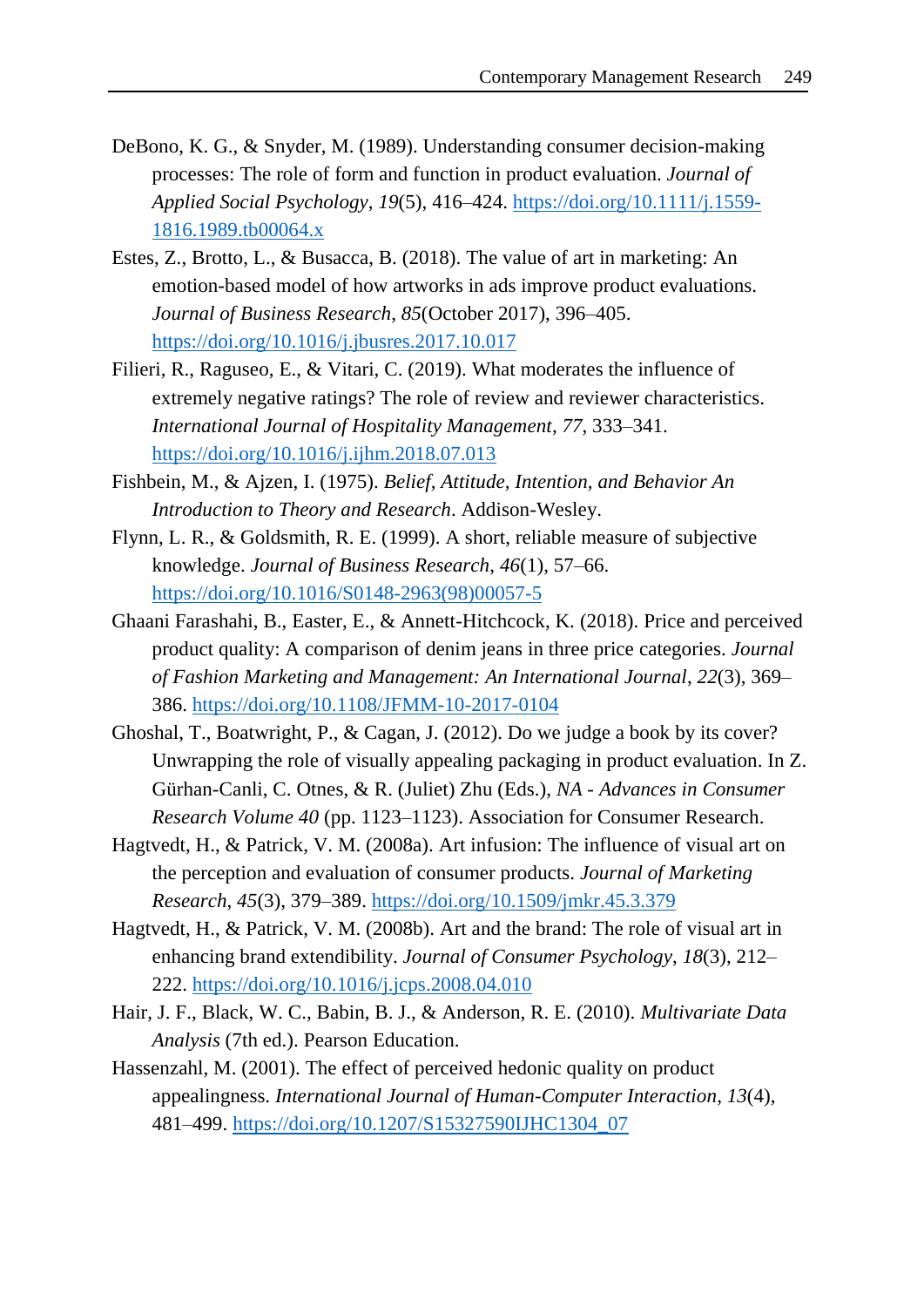- DeBono, K. G., & Snyder, M. (1989). Understanding consumer decision-making processes: The role of form and function in product evaluation. *Journal of Applied Social Psychology*, *19*(5), 416–424. [https://doi.org/10.1111/j.1559-](https://doi.org/10.1111/j.1559-1816.1989.tb00064.x) [1816.1989.tb00064.x](https://doi.org/10.1111/j.1559-1816.1989.tb00064.x)
- Estes, Z., Brotto, L., & Busacca, B. (2018). The value of art in marketing: An emotion-based model of how artworks in ads improve product evaluations. *Journal of Business Research*, *85*(October 2017), 396–405. <https://doi.org/10.1016/j.jbusres.2017.10.017>
- Filieri, R., Raguseo, E., & Vitari, C. (2019). What moderates the influence of extremely negative ratings? The role of review and reviewer characteristics. *International Journal of Hospitality Management*, *77*, 333–341. <https://doi.org/10.1016/j.ijhm.2018.07.013>
- Fishbein, M., & Ajzen, I. (1975). *Belief, Attitude, Intention, and Behavior An Introduction to Theory and Research*. Addison-Wesley.
- Flynn, L. R., & Goldsmith, R. E. (1999). A short, reliable measure of subjective knowledge. *Journal of Business Research*, *46*(1), 57–66. [https://doi.org/10.1016/S0148-2963\(98\)00057-5](https://doi.org/10.1016/S0148-2963(98)00057-5)
- Ghaani Farashahi, B., Easter, E., & Annett-Hitchcock, K. (2018). Price and perceived product quality: A comparison of denim jeans in three price categories. *Journal of Fashion Marketing and Management: An International Journal*, *22*(3), 369– 386.<https://doi.org/10.1108/JFMM-10-2017-0104>
- Ghoshal, T., Boatwright, P., & Cagan, J. (2012). Do we judge a book by its cover? Unwrapping the role of visually appealing packaging in product evaluation. In Z. Gürhan-Canli, C. Otnes, & R. (Juliet) Zhu (Eds.), *NA - Advances in Consumer Research Volume 40* (pp. 1123–1123). Association for Consumer Research.
- Hagtvedt, H., & Patrick, V. M. (2008a). Art infusion: The influence of visual art on the perception and evaluation of consumer products. *Journal of Marketing Research*, *45*(3), 379–389.<https://doi.org/10.1509/jmkr.45.3.379>
- Hagtvedt, H., & Patrick, V. M. (2008b). Art and the brand: The role of visual art in enhancing brand extendibility. *Journal of Consumer Psychology*, *18*(3), 212– 222.<https://doi.org/10.1016/j.jcps.2008.04.010>
- Hair, J. F., Black, W. C., Babin, B. J., & Anderson, R. E. (2010). *Multivariate Data Analysis* (7th ed.). Pearson Education.
- Hassenzahl, M. (2001). The effect of perceived hedonic quality on product appealingness. *International Journal of Human-Computer Interaction*, *13*(4), 481–499. [https://doi.org/10.1207/S15327590IJHC1304\\_07](https://doi.org/10.1207/S15327590IJHC1304_07)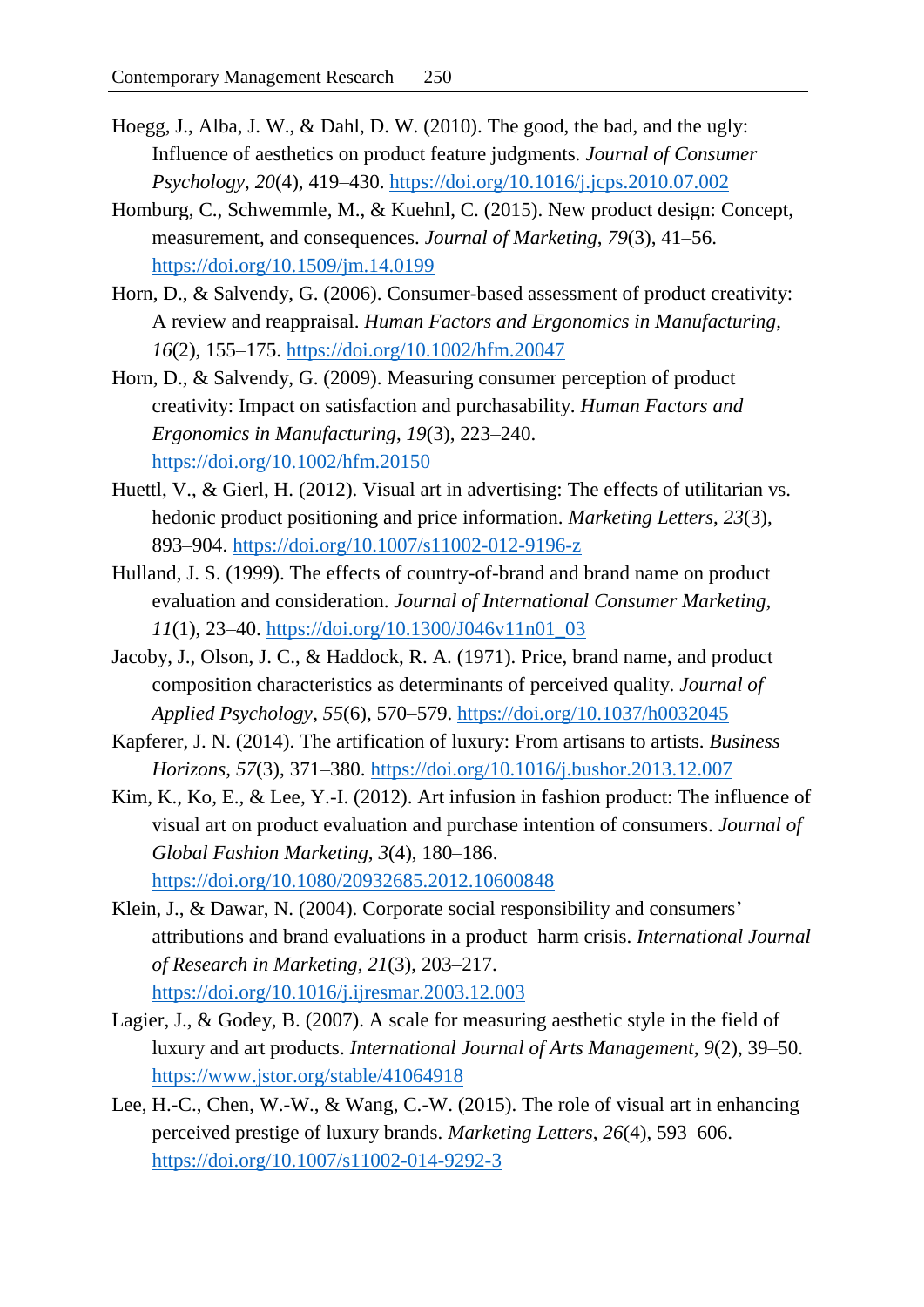- Hoegg, J., Alba, J. W., & Dahl, D. W. (2010). The good, the bad, and the ugly: Influence of aesthetics on product feature judgments. *Journal of Consumer Psychology*, *20*(4), 419–430.<https://doi.org/10.1016/j.jcps.2010.07.002>
- Homburg, C., Schwemmle, M., & Kuehnl, C. (2015). New product design: Concept, measurement, and consequences. *Journal of Marketing*, *79*(3), 41–56. <https://doi.org/10.1509/jm.14.0199>
- Horn, D., & Salvendy, G. (2006). Consumer-based assessment of product creativity: A review and reappraisal. *Human Factors and Ergonomics in Manufacturing*, *16*(2), 155–175.<https://doi.org/10.1002/hfm.20047>
- Horn, D., & Salvendy, G. (2009). Measuring consumer perception of product creativity: Impact on satisfaction and purchasability. *Human Factors and Ergonomics in Manufacturing*, *19*(3), 223–240. <https://doi.org/10.1002/hfm.20150>
- Huettl, V., & Gierl, H. (2012). Visual art in advertising: The effects of utilitarian vs. hedonic product positioning and price information. *Marketing Letters*, *23*(3), 893–904.<https://doi.org/10.1007/s11002-012-9196-z>
- Hulland, J. S. (1999). The effects of country-of-brand and brand name on product evaluation and consideration. *Journal of International Consumer Marketing*, *11*(1), 23–40. [https://doi.org/10.1300/J046v11n01\\_03](https://doi.org/10.1300/J046v11n01_03)
- Jacoby, J., Olson, J. C., & Haddock, R. A. (1971). Price, brand name, and product composition characteristics as determinants of perceived quality. *Journal of Applied Psychology*, *55*(6), 570–579.<https://doi.org/10.1037/h0032045>
- Kapferer, J. N. (2014). The artification of luxury: From artisans to artists. *Business Horizons*, *57*(3), 371–380.<https://doi.org/10.1016/j.bushor.2013.12.007>
- Kim, K., Ko, E., & Lee, Y.-I. (2012). Art infusion in fashion product: The influence of visual art on product evaluation and purchase intention of consumers. *Journal of Global Fashion Marketing*, *3*(4), 180–186. <https://doi.org/10.1080/20932685.2012.10600848>
- Klein, J., & Dawar, N. (2004). Corporate social responsibility and consumers' attributions and brand evaluations in a product–harm crisis. *International Journal of Research in Marketing*, *21*(3), 203–217. <https://doi.org/10.1016/j.ijresmar.2003.12.003>
- Lagier, J., & Godey, B. (2007). A scale for measuring aesthetic style in the field of luxury and art products. *International Journal of Arts Management*, *9*(2), 39–50. <https://www.jstor.org/stable/41064918>
- Lee, H.-C., Chen, W.-W., & Wang, C.-W. (2015). The role of visual art in enhancing perceived prestige of luxury brands. *Marketing Letters*, *26*(4), 593–606. <https://doi.org/10.1007/s11002-014-9292-3>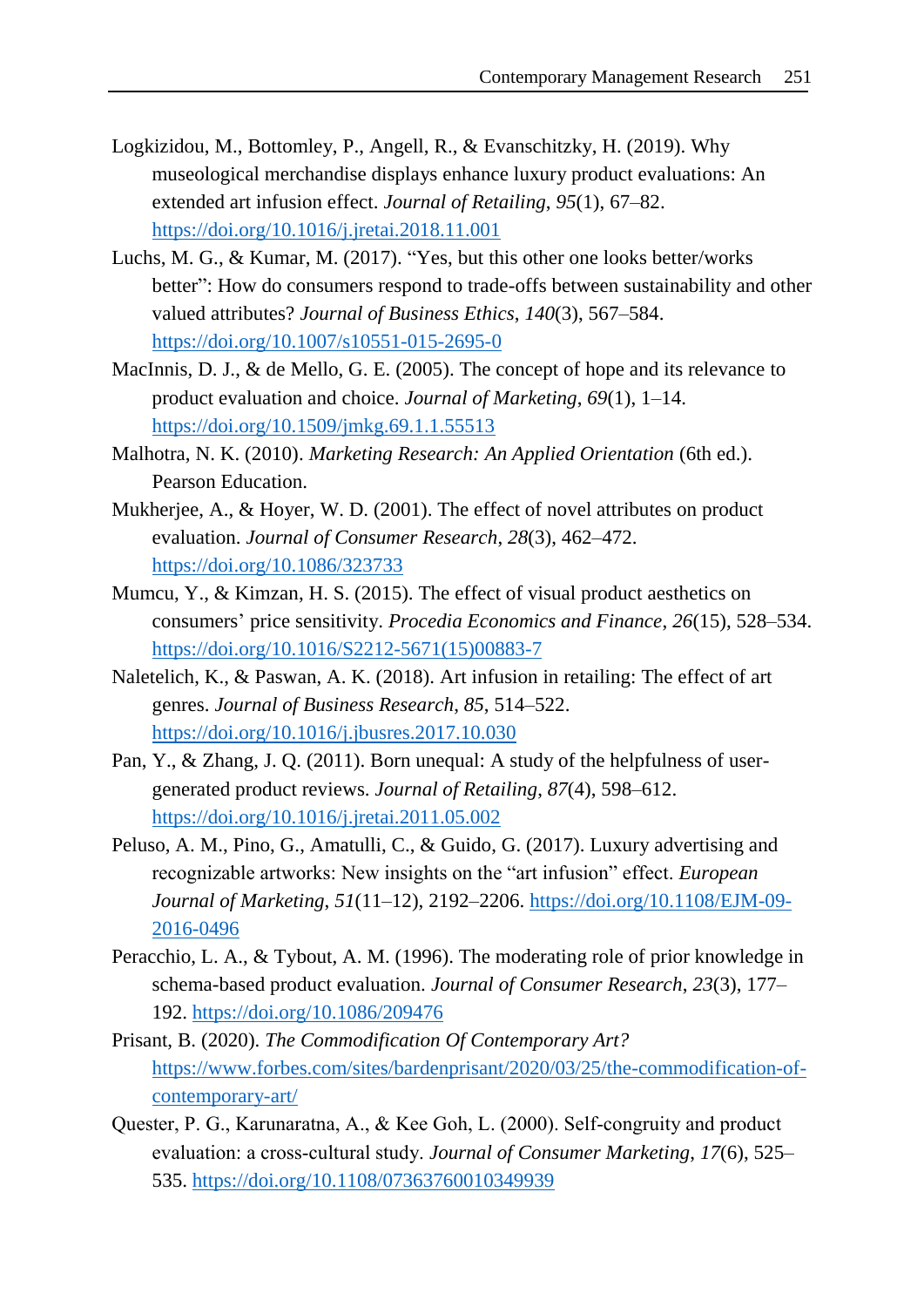- Logkizidou, M., Bottomley, P., Angell, R., & Evanschitzky, H. (2019). Why museological merchandise displays enhance luxury product evaluations: An extended art infusion effect. *Journal of Retailing*, *95*(1), 67–82. <https://doi.org/10.1016/j.jretai.2018.11.001>
- Luchs, M. G., & Kumar, M. (2017). "Yes, but this other one looks better/works better": How do consumers respond to trade-offs between sustainability and other valued attributes? *Journal of Business Ethics*, *140*(3), 567–584. <https://doi.org/10.1007/s10551-015-2695-0>
- MacInnis, D. J., & de Mello, G. E. (2005). The concept of hope and its relevance to product evaluation and choice. *Journal of Marketing*, *69*(1), 1–14. <https://doi.org/10.1509/jmkg.69.1.1.55513>
- Malhotra, N. K. (2010). *Marketing Research: An Applied Orientation* (6th ed.). Pearson Education.
- Mukherjee, A., & Hoyer, W. D. (2001). The effect of novel attributes on product evaluation. *Journal of Consumer Research*, *28*(3), 462–472. <https://doi.org/10.1086/323733>
- Mumcu, Y., & Kimzan, H. S. (2015). The effect of visual product aesthetics on consumers' price sensitivity. *Procedia Economics and Finance*, *26*(15), 528–534. [https://doi.org/10.1016/S2212-5671\(15\)00883-7](https://doi.org/10.1016/S2212-5671(15)00883-7)
- Naletelich, K., & Paswan, A. K. (2018). Art infusion in retailing: The effect of art genres. *Journal of Business Research*, *85*, 514–522. <https://doi.org/10.1016/j.jbusres.2017.10.030>
- Pan, Y., & Zhang, J. Q. (2011). Born unequal: A study of the helpfulness of usergenerated product reviews. *Journal of Retailing*, *87*(4), 598–612. <https://doi.org/10.1016/j.jretai.2011.05.002>
- Peluso, A. M., Pino, G., Amatulli, C., & Guido, G. (2017). Luxury advertising and recognizable artworks: New insights on the "art infusion" effect. *European Journal of Marketing*, *51*(11–12), 2192–2206. [https://doi.org/10.1108/EJM-09-](https://doi.org/10.1108/EJM-09-2016-0496) [2016-0496](https://doi.org/10.1108/EJM-09-2016-0496)
- Peracchio, L. A., & Tybout, A. M. (1996). The moderating role of prior knowledge in schema-based product evaluation. *Journal of Consumer Research*, *23*(3), 177– 192.<https://doi.org/10.1086/209476>
- Prisant, B. (2020). *The Commodification Of Contemporary Art?* [https://www.forbes.com/sites/bardenprisant/2020/03/25/the-commodification-of](https://www.forbes.com/sites/bardenprisant/2020/03/25/the-commodification-of-contemporary-art/)[contemporary-art/](https://www.forbes.com/sites/bardenprisant/2020/03/25/the-commodification-of-contemporary-art/)
- Quester, P. G., Karunaratna, A., & Kee Goh, L. (2000). Self‐congruity and product evaluation: a cross‐cultural study. *Journal of Consumer Marketing*, *17*(6), 525– 535. <https://doi.org/10.1108/07363760010349939>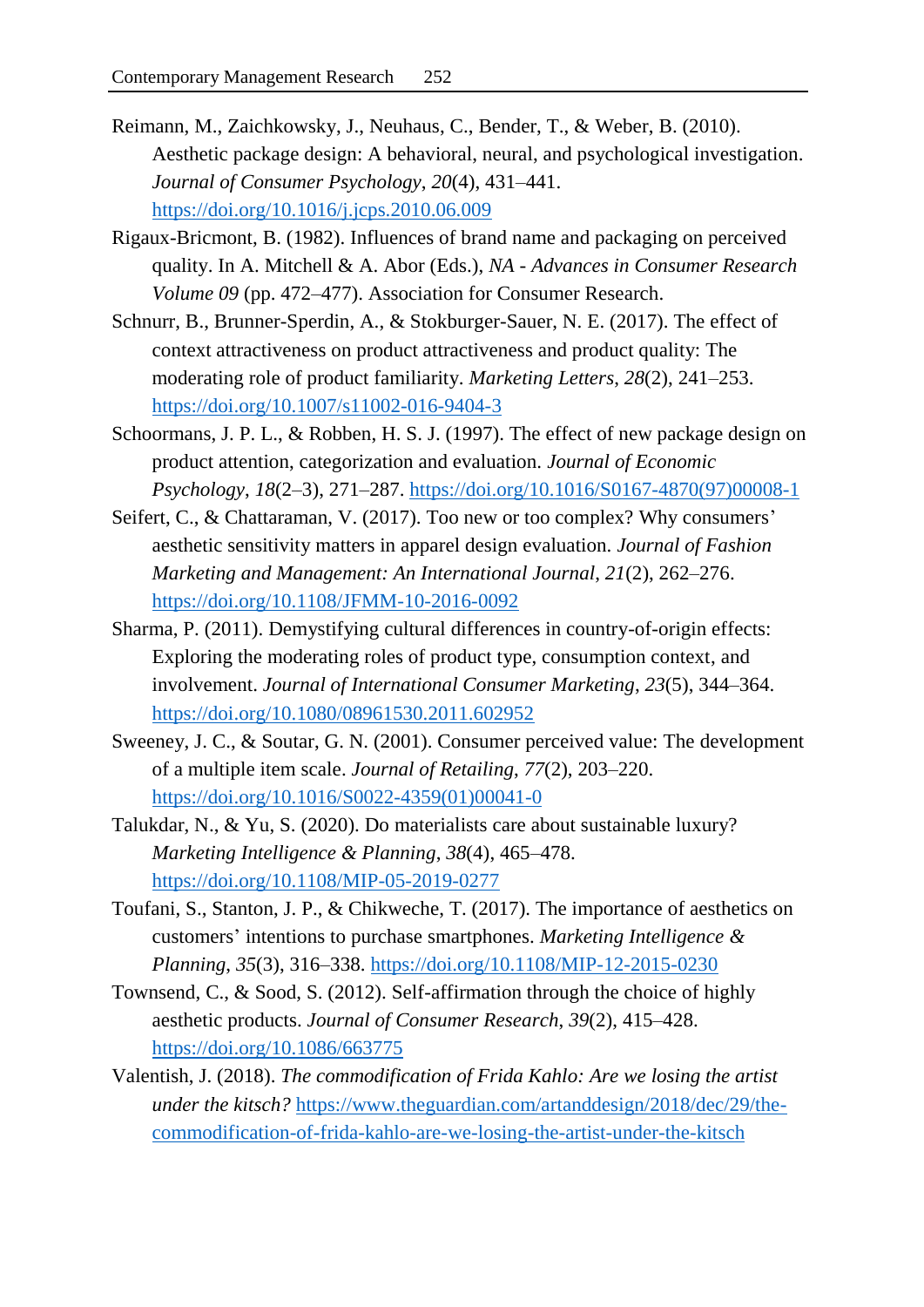- Reimann, M., Zaichkowsky, J., Neuhaus, C., Bender, T., & Weber, B. (2010). Aesthetic package design: A behavioral, neural, and psychological investigation. *Journal of Consumer Psychology*, *20*(4), 431–441. <https://doi.org/10.1016/j.jcps.2010.06.009>
- Rigaux-Bricmont, B. (1982). Influences of brand name and packaging on perceived quality. In A. Mitchell & A. Abor (Eds.), *NA - Advances in Consumer Research Volume 09* (pp. 472–477). Association for Consumer Research.
- Schnurr, B., Brunner-Sperdin, A., & Stokburger-Sauer, N. E. (2017). The effect of context attractiveness on product attractiveness and product quality: The moderating role of product familiarity. *Marketing Letters*, *28*(2), 241–253. <https://doi.org/10.1007/s11002-016-9404-3>
- Schoormans, J. P. L., & Robben, H. S. J. (1997). The effect of new package design on product attention, categorization and evaluation. *Journal of Economic Psychology*, *18*(2–3), 271–287. [https://doi.org/10.1016/S0167-4870\(97\)00008-1](https://doi.org/10.1016/S0167-4870(97)00008-1)
- Seifert, C., & Chattaraman, V. (2017). Too new or too complex? Why consumers' aesthetic sensitivity matters in apparel design evaluation. *Journal of Fashion Marketing and Management: An International Journal*, *21*(2), 262–276. <https://doi.org/10.1108/JFMM-10-2016-0092>
- Sharma, P. (2011). Demystifying cultural differences in country-of-origin effects: Exploring the moderating roles of product type, consumption context, and involvement. *Journal of International Consumer Marketing*, *23*(5), 344–364. <https://doi.org/10.1080/08961530.2011.602952>
- Sweeney, J. C., & Soutar, G. N. (2001). Consumer perceived value: The development of a multiple item scale. *Journal of Retailing*, *77*(2), 203–220. [https://doi.org/10.1016/S0022-4359\(01\)00041-0](https://doi.org/10.1016/S0022-4359(01)00041-0)
- Talukdar, N., & Yu, S. (2020). Do materialists care about sustainable luxury? *Marketing Intelligence & Planning*, *38*(4), 465–478. <https://doi.org/10.1108/MIP-05-2019-0277>
- Toufani, S., Stanton, J. P., & Chikweche, T. (2017). The importance of aesthetics on customers' intentions to purchase smartphones. *Marketing Intelligence & Planning*, *35*(3), 316–338.<https://doi.org/10.1108/MIP-12-2015-0230>
- Townsend, C., & Sood, S. (2012). Self-affirmation through the choice of highly aesthetic products. *Journal of Consumer Research*, *39*(2), 415–428. <https://doi.org/10.1086/663775>
- Valentish, J. (2018). *The commodification of Frida Kahlo: Are we losing the artist under the kitsch?* [https://www.theguardian.com/artanddesign/2018/dec/29/the](https://www.theguardian.com/artanddesign/2018/dec/29/the-commodification-of-frida-kahlo-are-we-losing-the-artist-under-the-kitsch)[commodification-of-frida-kahlo-are-we-losing-the-artist-under-the-kitsch](https://www.theguardian.com/artanddesign/2018/dec/29/the-commodification-of-frida-kahlo-are-we-losing-the-artist-under-the-kitsch)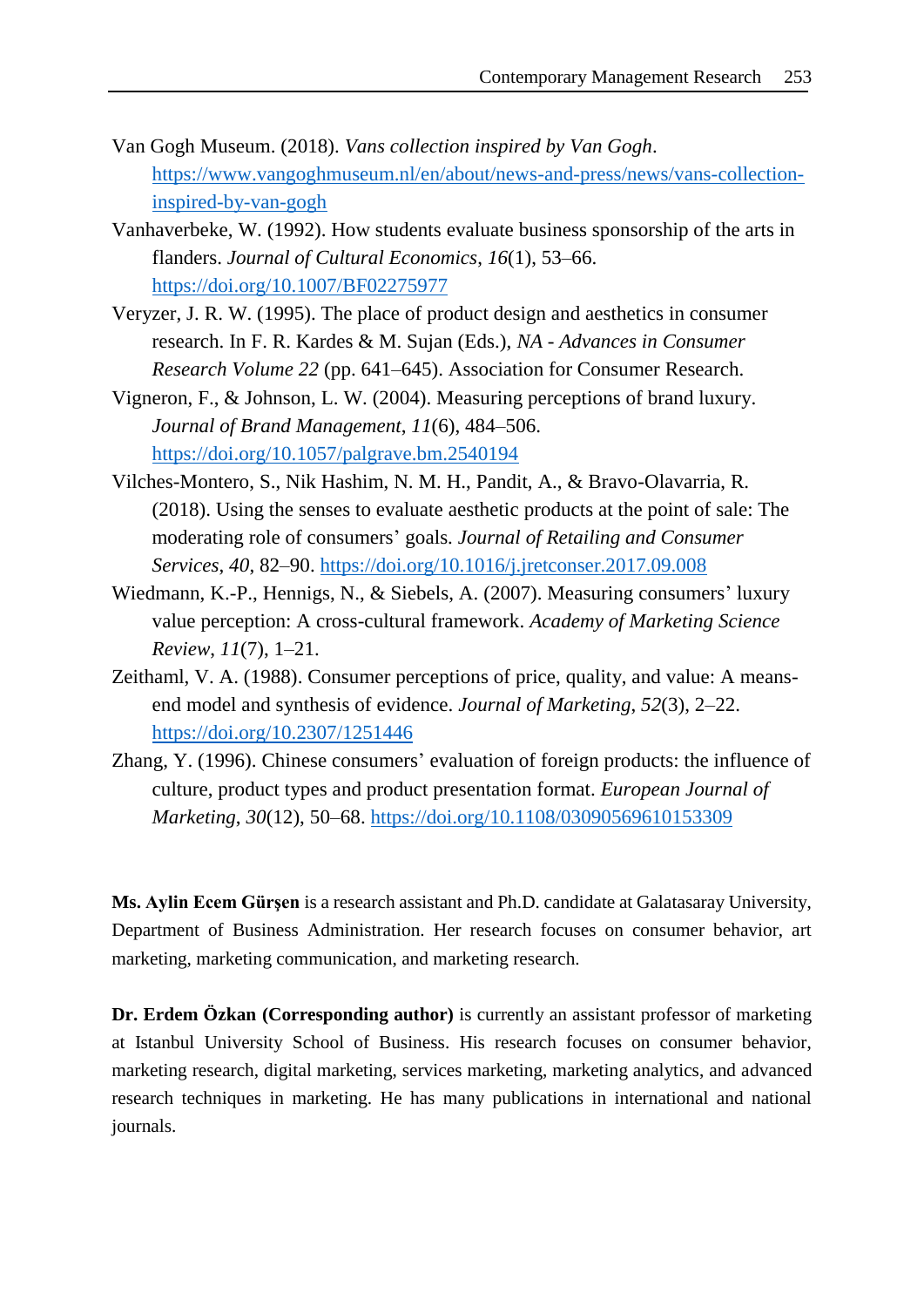- Van Gogh Museum. (2018). *Vans collection inspired by Van Gogh*. [https://www.vangoghmuseum.nl/en/about/news-and-press/news/vans-collection](https://www.vangoghmuseum.nl/en/about/news-and-press/news/vans-collection-inspired-by-van-gogh)[inspired-by-van-gogh](https://www.vangoghmuseum.nl/en/about/news-and-press/news/vans-collection-inspired-by-van-gogh)
- Vanhaverbeke, W. (1992). How students evaluate business sponsorship of the arts in flanders. *Journal of Cultural Economics*, *16*(1), 53–66. <https://doi.org/10.1007/BF02275977>
- Veryzer, J. R. W. (1995). The place of product design and aesthetics in consumer research. In F. R. Kardes & M. Sujan (Eds.), *NA - Advances in Consumer Research Volume 22* (pp. 641–645). Association for Consumer Research.
- Vigneron, F., & Johnson, L. W. (2004). Measuring perceptions of brand luxury. *Journal of Brand Management*, *11*(6), 484–506. <https://doi.org/10.1057/palgrave.bm.2540194>
- Vilches-Montero, S., Nik Hashim, N. M. H., Pandit, A., & Bravo-Olavarria, R. (2018). Using the senses to evaluate aesthetic products at the point of sale: The moderating role of consumers' goals. *Journal of Retailing and Consumer Services*, *40*, 82–90.<https://doi.org/10.1016/j.jretconser.2017.09.008>
- Wiedmann, K.-P., Hennigs, N., & Siebels, A. (2007). Measuring consumers' luxury value perception: A cross-cultural framework. *Academy of Marketing Science Review*, *11*(7), 1–21.
- Zeithaml, V. A. (1988). Consumer perceptions of price, quality, and value: A meansend model and synthesis of evidence. *Journal of Marketing*, *52*(3), 2–22. <https://doi.org/10.2307/1251446>
- Zhang, Y. (1996). Chinese consumers' evaluation of foreign products: the influence of culture, product types and product presentation format. *European Journal of Marketing*, *30*(12), 50–68.<https://doi.org/10.1108/03090569610153309>

**Ms. Aylin Ecem Gürşen** is a research assistant and Ph.D. candidate at Galatasaray University, Department of Business Administration. Her research focuses on consumer behavior, art marketing, marketing communication, and marketing research.

**Dr. Erdem Özkan** (Corresponding author) is currently an assistant professor of marketing at Istanbul University School of Business. His research focuses on consumer behavior, marketing research, digital marketing, services marketing, marketing analytics, and advanced research techniques in marketing. He has many publications in international and national journals.